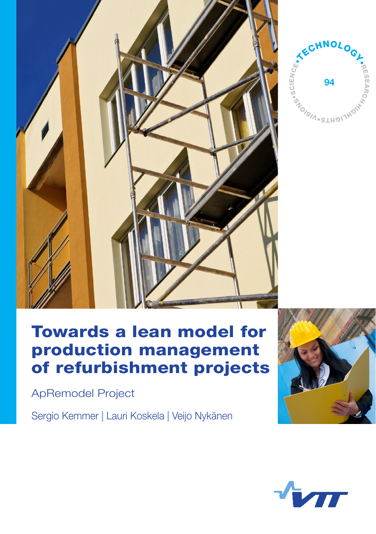



# Towards a lean model for production management of refurbishment projects

ApRemodel Project

Sergio Kemmer **|** Lauri Koskela **|** Veijo Nykänen



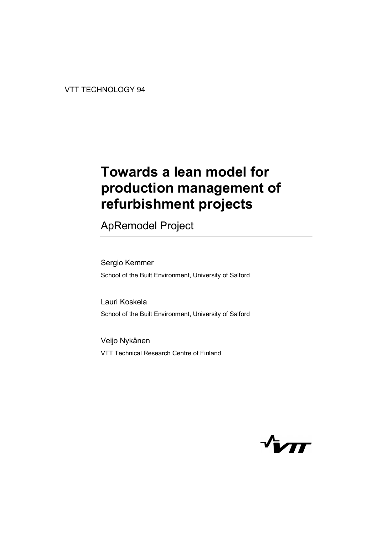# **Towards a lean model for production management of refurbishment projects**

ApRemodel Project

Sergio Kemmer School of the Built Environment, University of Salford

Lauri Koskela School of the Built Environment, University of Salford

Veijo Nykänen VTT Technical Research Centre of Finland

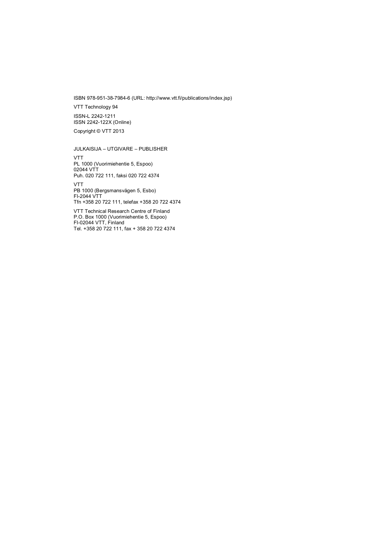ISBN 978-951-38-7984-6 (URL: [http://www.vtt.fi/publications/index.jsp\)](http://www.vtt.fi/publications/index.jsp) 

VTT Technology 94

ISSN-L 2242-1211 ISSN 2242-122X (Online)

Copyright © VTT 2013

JULKAISIJA – UTGIVARE – PUBLISHER

VTT PL 1000 (Vuorimiehentie 5, Espoo) 02044 VTT Puh. 020 722 111, faksi 020 722 4374

VTT PB 1000 (Bergsmansvägen 5, Esbo) FI-2044 VTT Tfn +358 20 722 111, telefax +358 20 722 4374

VTT Technical Research Centre of Finland P.O. Box 1000 (Vuorimiehentie 5, Espoo) FI-02044 VTT, Finland Tel. +358 20 722 111, fax + 358 20 722 4374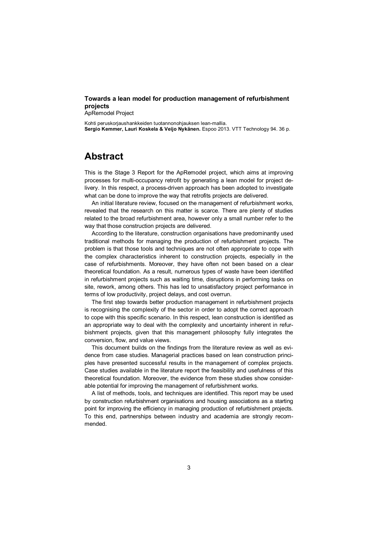#### **Towards a lean model for production management of refurbishment projects**

ApRemodel Project

Kohti peruskorjaushankkeiden tuotannonohjauksen lean-mallia. **Sergio Kemmer, Lauri Koskela & Veijo Nykänen.** Espoo 2013. VTT Technology 94. 36 p.

## **Abstract**

This is the Stage 3 Report for the ApRemodel project, which aims at improving processes for multi-occupancy retrofit by generating a lean model for project delivery. In this respect, a process-driven approach has been adopted to investigate what can be done to improve the way that retrofits projects are delivered.

An initial literature review, focused on the management of refurbishment works, revealed that the research on this matter is scarce. There are plenty of studies related to the broad refurbishment area, however only a small number refer to the way that those construction projects are delivered.

According to the literature, construction organisations have predominantly used traditional methods for managing the production of refurbishment projects. The problem is that those tools and techniques are not often appropriate to cope with the complex characteristics inherent to construction projects, especially in the case of refurbishments. Moreover, they have often not been based on a clear theoretical foundation. As a result, numerous types of waste have been identified in refurbishment projects such as waiting time, disruptions in performing tasks on site, rework, among others. This has led to unsatisfactory project performance in terms of low productivity, project delays, and cost overrun.

The first step towards better production management in refurbishment projects is recognising the complexity of the sector in order to adopt the correct approach to cope with this specific scenario. In this respect, lean construction is identified as an appropriate way to deal with the complexity and uncertainty inherent in refurbishment projects, given that this management philosophy fully integrates the conversion, flow, and value views.

This document builds on the findings from the literature review as well as evidence from case studies. Managerial practices based on lean construction principles have presented successful results in the management of complex projects. Case studies available in the literature report the feasibility and usefulness of this theoretical foundation. Moreover, the evidence from these studies show considerable potential for improving the management of refurbishment works.

A list of methods, tools, and techniques are identified. This report may be used by construction refurbishment organisations and housing associations as a starting point for improving the efficiency in managing production of refurbishment projects. To this end, partnerships between industry and academia are strongly recommended.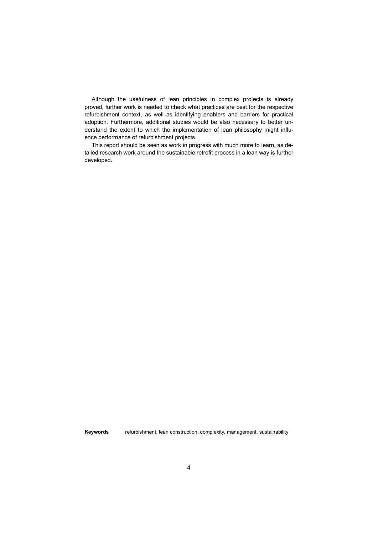Although the usefulness of lean principles in complex projects is already proved, further work is needed to check what practices are best for the respective refurbishment context, as well as identifying enablers and barriers for practical adoption. Furthermore, additional studies would be also necessary to better understand the extent to which the implementation of lean philosophy might influence performance of refurbishment projects.

This report should be seen as work in progress with much more to learn, as detailed research work around the sustainable retrofit process in a lean way is further developed.

**Keywords** refurbishment, lean construction, complexity, management, sustainability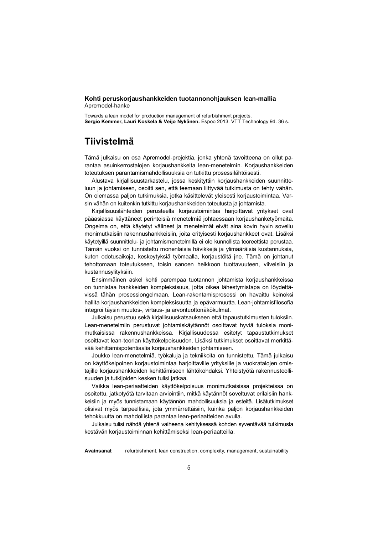#### **Kohti peruskorjaushankkeiden tuotannonohjauksen lean-mallia**  Apremodel-hanke

Towards a lean model for production management of refurbishment projects. **Sergio Kemmer, Lauri Koskela & Veijo Nykänen.** Espoo 2013. VTT Technology 94. 36 s.

## **Tiivistelmä**

Tämä julkaisu on osa Apremodel-projektia, jonka yhtenä tavoitteena on ollut parantaa asuinkerrostalojen korjaushankkeita lean-menetelmin. Korjaushankkeiden toteutuksen parantamismahdollisuuksia on tutkittu prosessilähtöisesti.

Alustava kirjallisuustarkastelu, jossa keskityttiin korjaushankkeiden suunnitteluun ja johtamiseen, osoitti sen, että teemaan liittyvää tutkimusta on tehty vähän. On olemassa paljon tutkimuksia, jotka käsittelevät yleisesti korjaustoimintaa. Varsin vähän on kuitenkin tutkittu korjaushankkeiden toteutusta ja johtamista.

Kirjallisuuslähteiden perusteella korjaustoimintaa harjoittavat yritykset ovat pääasiassa käyttäneet perinteisiä menetelmiä johtaessaan korjaushanketyömaita. Ongelma on, että käytetyt välineet ja menetelmät eivät aina kovin hyvin sovellu monimutkaisiin rakennushankkeisiin, joita erityisesti korjaushankkeet ovat. Lisäksi käytetyillä suunnittelu- ja johtamismenetelmillä ei ole kunnollista teoreettista perustaa. Tämän vuoksi on tunnistettu monenlaisia hävikkejä ja ylimääräisiä kustannuksia, kuten odotusaikoja, keskeytyksiä työmaalla, korjaustöitä jne. Tämä on johtanut tehottomaan toteutukseen, toisin sanoen heikkoon tuottavuuteen, viiveisiin ja kustannusylityksiin.

Ensimmäinen askel kohti parempaa tuotannon johtamista korjaushankkeissa on tunnistaa hankkeiden kompleksisuus, jotta oikea lähestymistapa on löydettävissä tähän prosessiongelmaan. Lean-rakentamisprosessi on havaittu keinoksi hallita korjaushankkeiden kompleksisuutta ja epävarmuutta. Lean-johtamisfilosofia integroi täysin muutos-, virtaus- ja arvontuottonäkökulmat.

Julkaisu perustuu sekä kirjallisuuskatsaukseen että tapaustutkimusten tuloksiin. Lean-menetelmiin perustuvat johtamiskäytännöt osoittavat hyviä tuloksia monimutkaisissa rakennushankkeissa. Kirjallisuudessa esitetyt tapaustutkimukset osoittavat lean-teorian käyttökelpoisuuden. Lisäksi tutkimukset osoittavat merkittävää kehittämispotentiaalia korjaushankkeiden johtamiseen.

Joukko lean-menetelmiä, työkaluja ja tekniikoita on tunnistettu. Tämä julkaisu on käyttökelpoinen korjaustoimintaa harjoittaville yrityksille ja vuokratalojen omistajille korjaushankkeiden kehittämiseen lähtökohdaksi. Yhteistyötä rakennusteollisuuden ja tutkijoiden kesken tulisi jatkaa.

Vaikka lean-periaatteiden käyttökelpoisuus monimutkaisissa projekteissa on osoitettu, jatkotyötä tarvitaan arviointiin, mitkä käytännöt soveltuvat erilaisiin hankkeisiin ja myös tunnistamaan käytännön mahdollisuuksia ja esteitä. Lisätutkimukset olisivat myös tarpeellisia, jota ymmärrettäisiin, kuinka paljon korjaushankkeiden tehokkuutta on mahdollista parantaa lean-periaatteiden avulla.

Julkaisu tulisi nähdä yhtenä vaiheena kehityksessä kohden syventävää tutkimusta kestävän korjaustoiminnan kehittämiseksi lean-periaatteilla.

**Avainsanat** refurbishment, lean construction, complexity, management, sustainability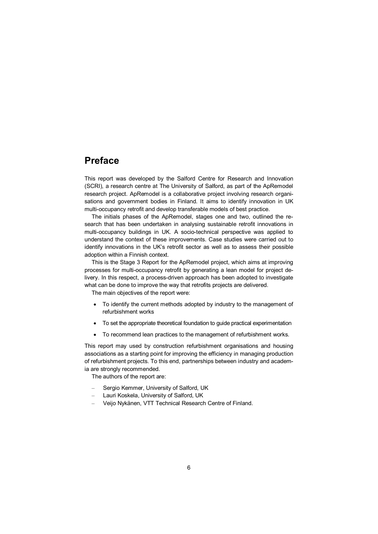### **Preface**

This report was developed by the Salford Centre for Research and Innovation (SCRI), a research centre at The University of Salford, as part of the ApRemodel research project. ApRemodel is a collaborative project involving research organisations and government bodies in Finland. It aims to identify innovation in UK multi-occupancy retrofit and develop transferable models of best practice.

The initials phases of the ApRemodel, stages one and two, outlined the research that has been undertaken in analysing sustainable retrofit innovations in multi-occupancy buildings in UK. A socio-technical perspective was applied to understand the context of these improvements. Case studies were carried out to identify innovations in the UK's retrofit sector as well as to assess their possible adoption within a Finnish context.

This is the Stage 3 Report for the ApRemodel project, which aims at improving processes for multi-occupancy retrofit by generating a lean model for project delivery. In this respect, a process-driven approach has been adopted to investigate what can be done to improve the way that retrofits projects are delivered.

The main objectives of the report were:

- · To identify the current methods adopted by industry to the management of refurbishment works
- · To set the appropriate theoretical foundation to guide practical experimentation
- · To recommend lean practices to the management of refurbishment works.

This report may used by construction refurbishment organisations and housing associations as a starting point for improving the efficiency in managing production of refurbishment projects. To this end, partnerships between industry and academia are strongly recommended.

The authors of the report are:

- Sergio Kemmer, University of Salford, UK
- Lauri Koskela, University of Salford, UK
- Veijo Nykänen, VTT Technical Research Centre of Finland.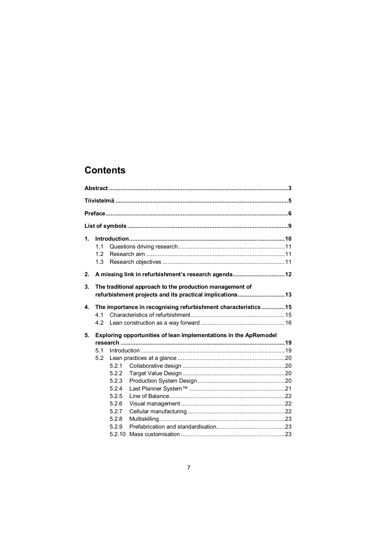## **Contents**

| $\mathbf{1}$ . | 1.1<br>1.2<br>1.3 |       |                                                                                                                      |  |
|----------------|-------------------|-------|----------------------------------------------------------------------------------------------------------------------|--|
| 2.             |                   |       | A missing link in refurbishment's research agenda12                                                                  |  |
| 3.             |                   |       | The traditional approach to the production management of<br>refurbishment projects and its practical implications 13 |  |
| 4.             |                   |       | The importance in recognising refurbishment characteristics 15                                                       |  |
|                | 4.1               |       |                                                                                                                      |  |
|                | 4.2               |       |                                                                                                                      |  |
| 5.             |                   |       | Exploring opportunities of lean implementations in the ApRemodel                                                     |  |
|                |                   |       |                                                                                                                      |  |
|                | 5.1               |       |                                                                                                                      |  |
|                | 5.2               |       |                                                                                                                      |  |
|                |                   | 5.2.1 |                                                                                                                      |  |
|                |                   | 5.2.2 |                                                                                                                      |  |
|                |                   | 5.2.3 |                                                                                                                      |  |
|                |                   | 5.2.4 |                                                                                                                      |  |
|                |                   | 5.2.5 |                                                                                                                      |  |
|                |                   | 5.2.6 |                                                                                                                      |  |
|                |                   | 5.2.7 |                                                                                                                      |  |
|                |                   | 5.2.8 |                                                                                                                      |  |
|                |                   | 5.2.9 |                                                                                                                      |  |
|                |                   |       |                                                                                                                      |  |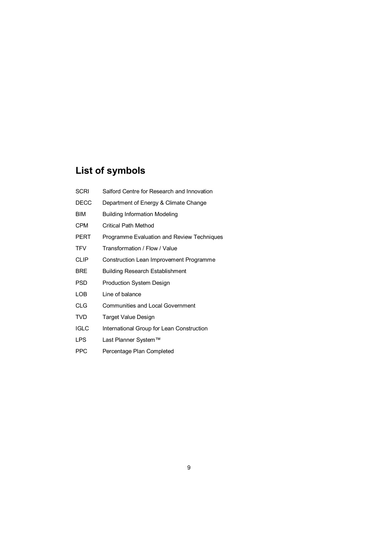## **List of symbols**

- SCRI Salford Centre for Research and Innovation
- DECC Department of Energy & Climate Change
- BIM Building Information Modeling
- CPM Critical Path Method
- PERT Programme Evaluation and Review Techniques
- TFV Transformation / Flow / Value
- CLIP Construction Lean Improvement Programme
- BRE Building Research Establishment
- PSD Production System Design
- LOB Line of balance
- CLG Communities and Local Government
- TVD Target Value Design
- IGLC International Group for Lean Construction
- LPS Last Planner System™
- PPC Percentage Plan Completed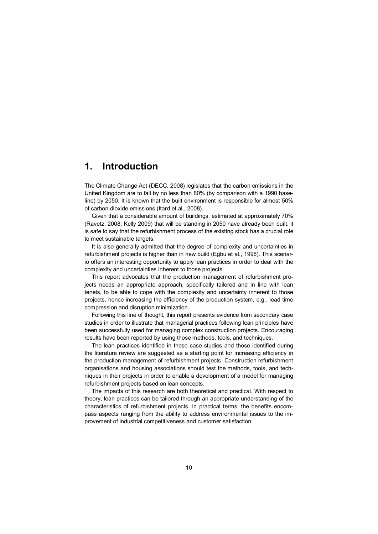## **1. Introduction**

The Climate Change Act (DECC, 2008) legislates that the carbon emissions in the United Kingdom are to fall by no less than 80% (by comparison with a 1990 baseline) by 2050. It is known that the built environment is responsible for almost 50% of carbon dioxide emissions (Itard et al., 2008).

Given that a considerable amount of buildings, estimated at approximately 70% (Ravetz, 2008; Kelly 2009) that will be standing in 2050 have already been built, it is safe to say that the refurbishment process of the existing stock has a crucial role to meet sustainable targets.

It is also generally admitted that the degree of complexity and uncertainties in refurbishment projects is higher than in new build (Egbu et al., 1996). This scenario offers an interesting opportunity to apply lean practices in order to deal with the complexity and uncertainties inherent to those projects.

This report advocates that the production management of refurbishment projects needs an appropriate approach, specifically tailored and in line with lean tenets, to be able to cope with the complexity and uncertainty inherent to those projects, hence increasing the efficiency of the production system, e.g., lead time compression and disruption minimization.

Following this line of thought, this report presents evidence from secondary case studies in order to illustrate that managerial practices following lean principles have been successfully used for managing complex construction projects. Encouraging results have been reported by using those methods, tools, and techniques.

The lean practices identified in these case studies and those identified during the literature review are suggested as a starting point for increasing efficiency in the production management of refurbishment projects. Construction refurbishment organisations and housing associations should test the methods, tools, and techniques in their projects in order to enable a development of a model for managing refurbishment projects based on lean concepts.

The impacts of this research are both theoretical and practical. With respect to theory, lean practices can be tailored through an appropriate understanding of the characteristics of refurbishment projects. In practical terms, the benefits encompass aspects ranging from the ability to address environmental issues to the improvement of industrial competitiveness and customer satisfaction.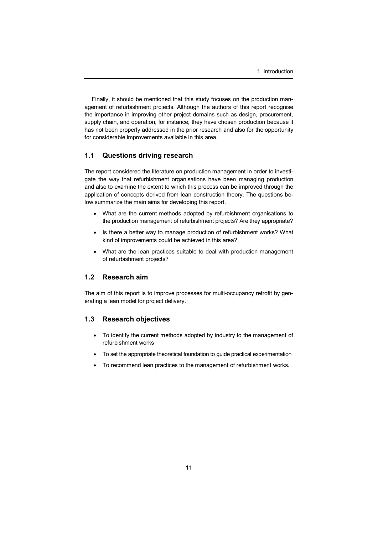Finally, it should be mentioned that this study focuses on the production management of refurbishment projects. Although the authors of this report recognise the importance in improving other project domains such as design, procurement, supply chain, and operation, for instance, they have chosen production because it has not been properly addressed in the prior research and also for the opportunity for considerable improvements available in this area.

#### **1.1 Questions driving research**

The report considered the literature on production management in order to investigate the way that refurbishment organisations have been managing production and also to examine the extent to which this process can be improved through the application of concepts derived from lean construction theory. The questions below summarize the main aims for developing this report.

- · What are the current methods adopted by refurbishment organisations to the production management of refurbishment projects? Are they appropriate?
- · Is there a better way to manage production of refurbishment works? What kind of improvements could be achieved in this area?
- · What are the lean practices suitable to deal with production management of refurbishment projects?

#### **1.2 Research aim**

The aim of this report is to improve processes for multi-occupancy retrofit by generating a lean model for project delivery.

#### **1.3 Research objectives**

- · To identify the current methods adopted by industry to the management of refurbishment works
- · To set the appropriate theoretical foundation to guide practical experimentation
- · To recommend lean practices to the management of refurbishment works.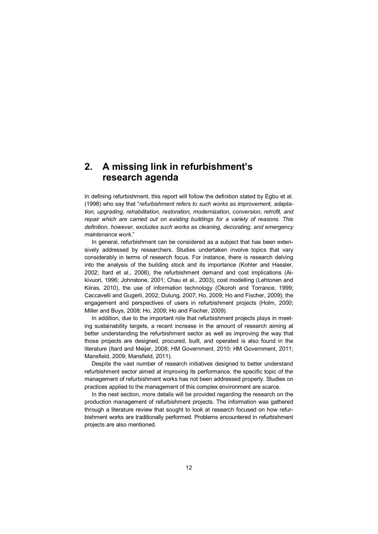## **2. A missing link in refurbishment's research agenda**

In defining refurbishment, this report will follow the definition stated by Egbu et al. (1998) who say that "*refurbishment refers to such works as improvement, adaptation, upgrading, rehabilitation, restoration, modernization, conversion, retrofit, and repair which are carried out on existing buildings for a variety of reasons. This definition, however, excludes such works as cleaning, decorating, and emergency maintenance work*."

In general, refurbishment can be considered as a subject that has been extensively addressed by researchers. Studies undertaken involve topics that vary considerably in terms of research focus. For instance, there is research delving into the analysis of the building stock and its importance (Kohler and Hassler, 2002; Itard et al., 2008), the refurbishment demand and cost implications (Aikivuori, 1996; Johnstone, 2001; Chau et al., 2003), cost modelling (Lehtonen and Kiiras, 2010), the use of information technology (Okoroh and Torrance, 1999; Caccavelli and Gugerli, 2002; Dulung, 2007; Ho, 2009; Ho and Fischer, 2009); the engagement and perspectives of users in refurbishment projects (Holm, 2000; Miller and Buys, 2008; Ho, 2009; Ho and Fischer, 2009).

In addition, due to the important role that refurbishment projects plays in meeting sustainability targets, a recent increase in the amount of research aiming at better understanding the refurbishment sector as well as improving the way that those projects are designed, procured, built, and operated is also found in the literature (Itard and Meijer, 2008; HM Government, 2010; HM Government, 2011; Mansfield, 2009; Mansfield, 2011).

Despite the vast number of research initiatives designed to better understand refurbishment sector aimed at improving its performance, the specific topic of the management of refurbishment works has not been addressed properly. Studies on practices applied to the management of this complex environment are scarce.

In the next section, more details will be provided regarding the research on the production management of refurbishment projects. The information was gathered through a literature review that sought to look at research focused on how refurbishment works are traditionally performed. Problems encountered in refurbishment projects are also mentioned.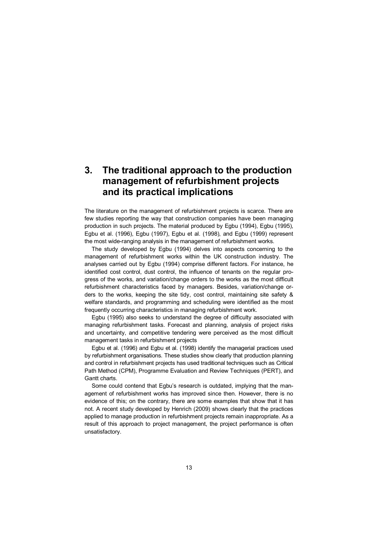## **3. The traditional approach to the production management of refurbishment projects and its practical implications**

The literature on the management of refurbishment projects is scarce. There are few studies reporting the way that construction companies have been managing production in such projects. The material produced by Egbu (1994), Egbu (1995), Egbu et al. (1996), Egbu (1997), Egbu et al. (1998), and Egbu (1999) represent the most wide-ranging analysis in the management of refurbishment works.

The study developed by Egbu (1994) delves into aspects concerning to the management of refurbishment works within the UK construction industry. The analyses carried out by Egbu (1994) comprise different factors. For instance, he identified cost control, dust control, the influence of tenants on the regular progress of the works, and variation/change orders to the works as the most difficult refurbishment characteristics faced by managers. Besides, variation/change orders to the works, keeping the site tidy, cost control, maintaining site safety & welfare standards, and programming and scheduling were identified as the most frequently occurring characteristics in managing refurbishment work.

Egbu (1995) also seeks to understand the degree of difficulty associated with managing refurbishment tasks. Forecast and planning, analysis of project risks and uncertainty, and competitive tendering were perceived as the most difficult management tasks in refurbishment projects

Egbu et al. (1996) and Egbu et al. (1998) identify the managerial practices used by refurbishment organisations. These studies show clearly that production planning and control in refurbishment projects has used traditional techniques such as Critical Path Method (CPM), Programme Evaluation and Review Techniques (PERT), and Gantt charts.

Some could contend that Egbu's research is outdated, implying that the management of refurbishment works has improved since then. However, there is no evidence of this; on the contrary, there are some examples that show that it has not. A recent study developed by Henrich (2009) shows clearly that the practices applied to manage production in refurbishment projects remain inappropriate. As a result of this approach to project management, the project performance is often unsatisfactory.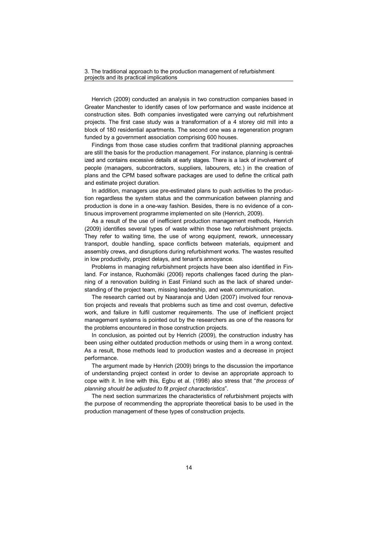Henrich (2009) conducted an analysis in two construction companies based in Greater Manchester to identify cases of low performance and waste incidence at construction sites. Both companies investigated were carrying out refurbishment projects. The first case study was a transformation of a 4 storey old mill into a block of 180 residential apartments. The second one was a regeneration program funded by a government association comprising 600 houses.

Findings from those case studies confirm that traditional planning approaches are still the basis for the production management. For instance, planning is centralized and contains excessive details at early stages. There is a lack of involvement of people (managers, subcontractors, suppliers, labourers, etc.) in the creation of plans and the CPM based software packages are used to define the critical path and estimate project duration.

In addition, managers use pre-estimated plans to push activities to the production regardless the system status and the communication between planning and production is done in a one-way fashion. Besides, there is no evidence of a continuous improvement programme implemented on site (Henrich, 2009).

As a result of the use of inefficient production management methods, Henrich (2009) identifies several types of waste within those two refurbishment projects. They refer to waiting time, the use of wrong equipment, rework, unnecessary transport, double handling, space conflicts between materials, equipment and assembly crews, and disruptions during refurbishment works. The wastes resulted in low productivity, project delays, and tenant's annoyance.

Problems in managing refurbishment projects have been also identified in Finland. For instance, Ruohomäki (2006) reports challenges faced during the planning of a renovation building in East Finland such as the lack of shared understanding of the project team, missing leadership, and weak communication.

The research carried out by Naaranoja and Uden (2007) involved four renovation projects and reveals that problems such as time and cost overrun, defective work, and failure in fulfil customer requirements. The use of inefficient project management systems is pointed out by the researchers as one of the reasons for the problems encountered in those construction projects.

In conclusion, as pointed out by Henrich (2009), the construction industry has been using either outdated production methods or using them in a wrong context. As a result, those methods lead to production wastes and a decrease in project performance.

The argument made by Henrich (2009) brings to the discussion the importance of understanding project context in order to devise an appropriate approach to cope with it. In line with this, Egbu et al. (1998) also stress that "*the process of planning should be adjusted to fit project characteristics*".

The next section summarizes the characteristics of refurbishment projects with the purpose of recommending the appropriate theoretical basis to be used in the production management of these types of construction projects.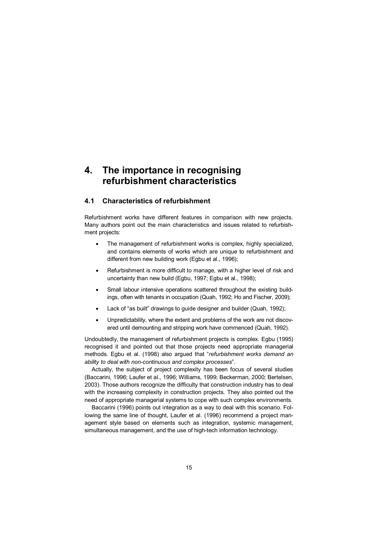## **4. The importance in recognising refurbishment characteristics**

#### **4.1 Characteristics of refurbishment**

Refurbishment works have different features in comparison with new projects. Many authors point out the main characteristics and issues related to refurbishment projects:

- · The management of refurbishment works is complex, highly specialized, and contains elements of works which are unique to refurbishment and different from new building work (Egbu et al., 1996);
- · Refurbishment is more difficult to manage, with a higher level of risk and uncertainty than new build (Egbu, 1997; Egbu et al., 1998);
- Small labour intensive operations scattered throughout the existing buildings, often with tenants in occupation (Quah, 1992; Ho and Fischer, 2009);
- · Lack of "as built" drawings to guide designer and builder (Quah, 1992);
- · Unpredictability, where the extent and problems of the work are not discovered until demounting and stripping work have commenced (Quah, 1992).

Undoubtedly, the management of refurbishment projects is complex. Egbu (1995) recognised it and pointed out that those projects need appropriate managerial methods. Egbu et al. (1998) also argued that "*refurbishment works demand an ability to deal with non-continuous and complex processes*".

Actually, the subject of project complexity has been focus of several studies (Baccarini, 1996; Laufer et al., 1996; Williams, 1999; Beckerman, 2000; Bertelsen, 2003). Those authors recognize the difficulty that construction industry has to deal with the increasing complexity in construction projects. They also pointed out the need of appropriate managerial systems to cope with such complex environments.

Baccarini (1996) points out integration as a way to deal with this scenario. Following the same line of thought, Laufer et al. (1996) recommend a project management style based on elements such as integration, systemic management, simultaneous management, and the use of high-tech information technology.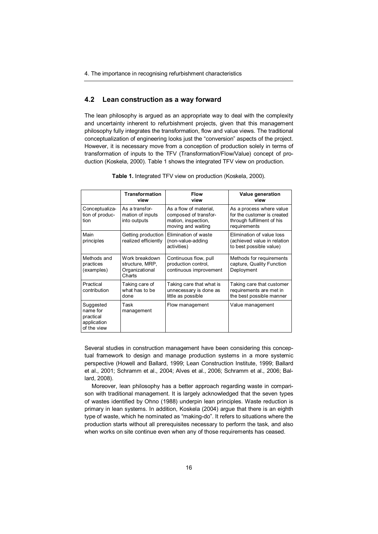#### **4.2 Lean construction as a way forward**

The lean philosophy is argued as an appropriate way to deal with the complexity and uncertainty inherent to refurbishment projects, given that this management philosophy fully integrates the transformation, flow and value views. The traditional conceptualization of engineering looks just the "conversion" aspects of the project. However, it is necessary move from a conception of production solely in terms of transformation of inputs to the TFV (Transformation/Flow/Value) concept of production (Koskela, 2000). Table 1 shows the integrated TFV view on production.

|                                                                  | <b>Transformation</b><br>view                                 | <b>Flow</b><br>view                                                                          | Value generation<br>view                                                                             |
|------------------------------------------------------------------|---------------------------------------------------------------|----------------------------------------------------------------------------------------------|------------------------------------------------------------------------------------------------------|
| Conceptualiza-<br>tion of produc-<br>tion                        | As a transfor-<br>mation of inputs<br>into outputs            | As a flow of material,<br>composed of transfor-<br>mation, inspection,<br>moving and waiting | As a process where value<br>for the customer is created<br>through fulfilment of his<br>requirements |
| Main<br>principles                                               | Getting production<br>realized efficiently                    | Elimination of waste<br>(non-value-adding<br>activities)                                     | Elimination of value loss<br>(achieved value in relation<br>to best possible value)                  |
| Methods and<br>practices<br>(examples)                           | Work breakdown<br>structure, MRP,<br>Organizational<br>Charts | Continuous flow, pull<br>production control.<br>continuous improvement                       | Methods for requirements<br>capture, Quality Function<br>Deployment                                  |
| Practical<br>contribution                                        | Taking care of<br>what has to be<br>done                      | Taking care that what is<br>unnecessary is done as<br>little as possible                     | Taking care that customer<br>requirements are met in<br>the best possible manner                     |
| Suggested<br>name for<br>practical<br>application<br>of the view | Task<br>management                                            | Flow management                                                                              | Value management                                                                                     |

**Table 1.** Integrated TFV view on production (Koskela, 2000).

Several studies in construction management have been considering this conceptual framework to design and manage production systems in a more systemic perspective (Howell and Ballard, 1999; Lean Construction Institute, 1999; Ballard et al., 2001; Schramm et al., 2004; Alves et al., 2006; Schramm et al., 2006; Ballard, 2008).

Moreover, lean philosophy has a better approach regarding waste in comparison with traditional management. It is largely acknowledged that the seven types of wastes identified by Ohno (1988) underpin lean principles. Waste reduction is primary in lean systems. In addition, Koskela (2004) argue that there is an eighth type of waste, which he nominated as "making-do". It refers to situations where the production starts without all prerequisites necessary to perform the task, and also when works on site continue even when any of those requirements has ceased.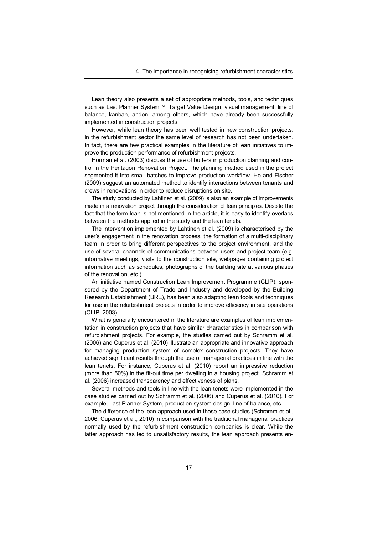Lean theory also presents a set of appropriate methods, tools, and techniques such as Last Planner System™, Target Value Design, visual management, line of balance, kanban, andon, among others, which have already been successfully implemented in construction projects.

However, while lean theory has been well tested in new construction projects, in the refurbishment sector the same level of research has not been undertaken. In fact, there are few practical examples in the literature of lean initiatives to improve the production performance of refurbishment projects.

Horman et al. (2003) discuss the use of buffers in production planning and control in the Pentagon Renovation Project. The planning method used in the project segmented it into small batches to improve production workflow. Ho and Fischer (2009) suggest an automated method to identify interactions between tenants and crews in renovations in order to reduce disruptions on site.

The study conducted by Lahtinen et al. (2009) is also an example of improvements made in a renovation project through the consideration of lean principles. Despite the fact that the term lean is not mentioned in the article, it is easy to identify overlaps between the methods applied in the study and the lean tenets.

The intervention implemented by Lahtinen et al. (2009) is characterised by the user's engagement in the renovation process, the formation of a multi-disciplinary team in order to bring different perspectives to the project environment, and the use of several channels of communications between users and project team (e.g. informative meetings, visits to the construction site, webpages containing project information such as schedules, photographs of the building site at various phases of the renovation, etc.).

An initiative named Construction Lean Improvement Programme (CLIP), sponsored by the Department of Trade and Industry and developed by the Building Research Establishment (BRE), has been also adapting lean tools and techniques for use in the refurbishment projects in order to improve efficiency in site operations (CLIP, 2003).

What is generally encountered in the literature are examples of lean implementation in construction projects that have similar characteristics in comparison with refurbishment projects. For example, the studies carried out by Schramm et al. (2006) and Cuperus et al. (2010) illustrate an appropriate and innovative approach for managing production system of complex construction projects. They have achieved significant results through the use of managerial practices in line with the lean tenets. For instance, Cuperus et al. (2010) report an impressive reduction (more than 50%) in the fit-out time per dwelling in a housing project. Schramm et al. (2006) increased transparency and effectiveness of plans.

Several methods and tools in line with the lean tenets were implemented in the case studies carried out by Schramm et al. (2006) and Cuperus et al. (2010). For example, Last Planner System, production system design, line of balance, etc.

The difference of the lean approach used in those case studies (Schramm et al., 2006; Cuperus et al., 2010) in comparison with the traditional managerial practices normally used by the refurbishment construction companies is clear. While the latter approach has led to unsatisfactory results, the lean approach presents en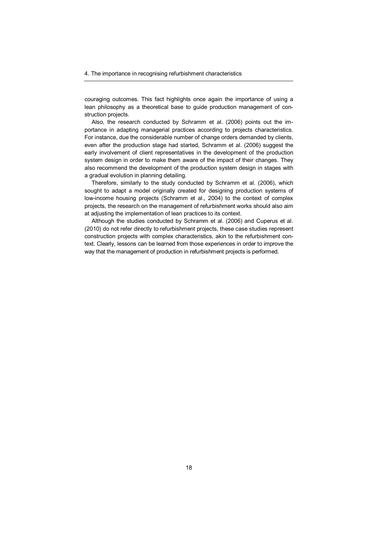couraging outcomes. This fact highlights once again the importance of using a lean philosophy as a theoretical base to guide production management of construction projects.

Also, the research conducted by Schramm et al. (2006) points out the importance in adapting managerial practices according to projects characteristics. For instance, due the considerable number of change orders demanded by clients, even after the production stage had started, Schramm et al. (2006) suggest the early involvement of client representatives in the development of the production system design in order to make them aware of the impact of their changes. They also recommend the development of the production system design in stages with a gradual evolution in planning detailing.

Therefore, similarly to the study conducted by Schramm et al. (2006), which sought to adapt a model originally created for designing production systems of low-income housing projects (Schramm et al., 2004) to the context of complex projects, the research on the management of refurbishment works should also aim at adjusting the implementation of lean practices to its context.

Although the studies conducted by Schramm et al. (2006) and Cuperus et al. (2010) do not refer directly to refurbishment projects, these case studies represent construction projects with complex characteristics, akin to the refurbishment context. Clearly, lessons can be learned from those experiences in order to improve the way that the management of production in refurbishment projects is performed.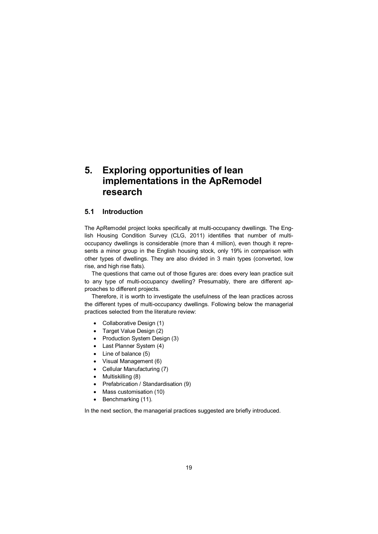## **5. Exploring opportunities of lean implementations in the ApRemodel research**

#### **5.1 Introduction**

The ApRemodel project looks specifically at multi-occupancy dwellings. The English Housing Condition Survey (CLG, 2011) identifies that number of multioccupancy dwellings is considerable (more than 4 million), even though it represents a minor group in the English housing stock, only 19% in comparison with other types of dwellings. They are also divided in 3 main types (converted, low rise, and high rise flats).

The questions that came out of those figures are: does every lean practice suit to any type of multi-occupancy dwelling? Presumably, there are different approaches to different projects.

Therefore, it is worth to investigate the usefulness of the lean practices across the different types of multi-occupancy dwellings. Following below the managerial practices selected from the literature review:

- · Collaborative Design (1)
- · Target Value Design (2)
- Production System Design (3)
- · Last Planner System (4)
- Line of balance (5)
- · Visual Management (6)
- Cellular Manufacturing (7)
- Multiskilling (8)
- · Prefabrication / Standardisation (9)
- · Mass customisation (10)
- Benchmarking (11).

In the next section, the managerial practices suggested are briefly introduced.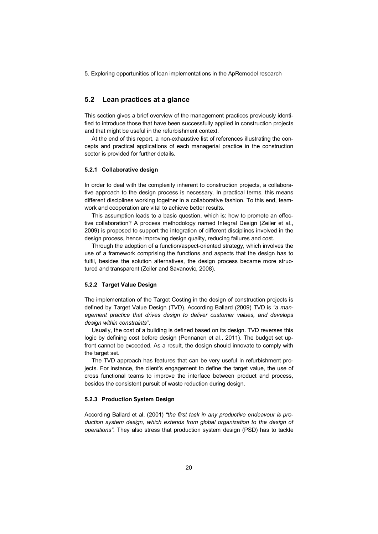#### **5.2 Lean practices at a glance**

This section gives a brief overview of the management practices previously identified to introduce those that have been successfully applied in construction projects and that might be useful in the refurbishment context.

At the end of this report, a non-exhaustive list of references illustrating the concepts and practical applications of each managerial practice in the construction sector is provided for further details.

#### **5.2.1 Collaborative design**

In order to deal with the complexity inherent to construction projects, a collaborative approach to the design process is necessary. In practical terms, this means different disciplines working together in a collaborative fashion. To this end, teamwork and cooperation are vital to achieve better results.

This assumption leads to a basic question, which is: how to promote an effective collaboration? A process methodology named Integral Design (Zeiler et al., 2009) is proposed to support the integration of different disciplines involved in the design process, hence improving design quality, reducing failures and cost.

Through the adoption of a function/aspect-oriented strategy, which involves the use of a framework comprising the functions and aspects that the design has to fulfil, besides the solution alternatives, the design process became more structured and transparent (Zeiler and Savanovic, 2008).

#### **5.2.2 Target Value Design**

The implementation of the Target Costing in the design of construction projects is defined by Target Value Design (TVD). According Ballard (2009) TVD is *"a management practice that drives design to deliver customer values, and develops design within constraints"*.

Usually, the cost of a building is defined based on its design. TVD reverses this logic by defining cost before design (Pennanen et al., 2011). The budget set upfront cannot be exceeded. As a result, the design should innovate to comply with the target set.

The TVD approach has features that can be very useful in refurbishment projects. For instance, the client's engagement to define the target value, the use of cross functional teams to improve the interface between product and process, besides the consistent pursuit of waste reduction during design.

#### **5.2.3 Production System Design**

According Ballard et al. (2001) *"the first task in any productive endeavour is production system design, which extends from global organization to the design of operations"*. They also stress that production system design (PSD) has to tackle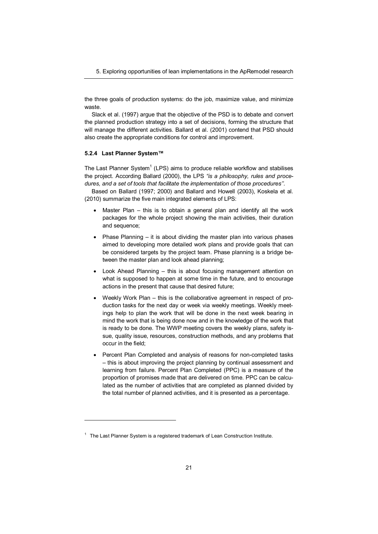the three goals of production systems: do the job, maximize value, and minimize waste.

Slack et al. (1997) argue that the objective of the PSD is to debate and convert the planned production strategy into a set of decisions, forming the structure that will manage the different activities. Ballard et al. (2001) contend that PSD should also create the appropriate conditions for control and improvement.

#### **5.2.4 Last Planner System™**

l

The Last Planner System<sup>1</sup> (LPS) aims to produce reliable workflow and stabilises the project. According Ballard (2000), the LPS *"is a philosophy, rules and procedures, and a set of tools that facilitate the implementation of those procedures''.*

Based on Ballard (1997; 2000) and Ballard and Howell (2003), Koskela et al. (2010) summarize the five main integrated elements of LPS:

- · Master Plan this is to obtain a general plan and identify all the work packages for the whole project showing the main activities, their duration and sequence;
- Phase Planning it is about dividing the master plan into various phases aimed to developing more detailed work plans and provide goals that can be considered targets by the project team. Phase planning is a bridge between the master plan and look ahead planning;
- · Look Ahead Planning this is about focusing management attention on what is supposed to happen at some time in the future, and to encourage actions in the present that cause that desired future;
- · Weekly Work Plan this is the collaborative agreement in respect of production tasks for the next day or week via weekly meetings. Weekly meetings help to plan the work that will be done in the next week bearing in mind the work that is being done now and in the knowledge of the work that is ready to be done. The WWP meeting covers the weekly plans, safety issue, quality issue, resources, construction methods, and any problems that occur in the field;
- · Percent Plan Completed and analysis of reasons for non-completed tasks – this is about improving the project planning by continual assessment and learning from failure. Percent Plan Completed (PPC) is a measure of the proportion of promises made that are delivered on time. PPC can be calculated as the number of activities that are completed as planned divided by the total number of planned activities, and it is presented as a percentage.

 $1$  The Last Planner System is a registered trademark of Lean Construction Institute.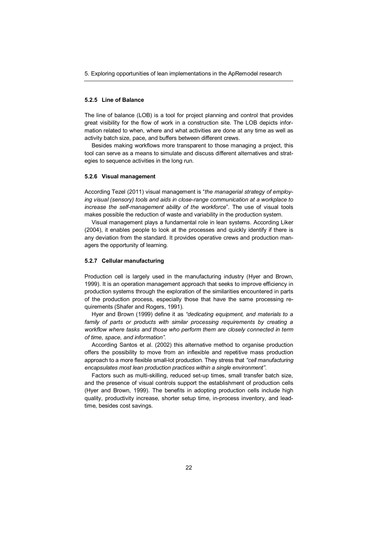#### **5.2.5 Line of Balance**

The line of balance (LOB) is a tool for project planning and control that provides great visibility for the flow of work in a construction site. The LOB depicts information related to when, where and what activities are done at any time as well as activity batch size, pace, and buffers between different crews.

Besides making workflows more transparent to those managing a project, this tool can serve as a means to simulate and discuss different alternatives and strategies to sequence activities in the long run.

#### **5.2.6 Visual management**

According Tezel (2011) visual management is "*the managerial strategy of employing visual (sensory) tools and aids in close-range communication at a workplace to increase the self-management ability of the workforce*". The use of visual tools makes possible the reduction of waste and variability in the production system.

Visual management plays a fundamental role in lean systems. According Liker (2004), it enables people to look at the processes and quickly identify if there is any deviation from the standard. It provides operative crews and production managers the opportunity of learning.

#### **5.2.7 Cellular manufacturing**

Production cell is largely used in the manufacturing industry (Hyer and Brown, 1999). It is an operation management approach that seeks to improve efficiency in production systems through the exploration of the similarities encountered in parts of the production process, especially those that have the same processing requirements (Shafer and Rogers, 1991).

Hyer and Brown (1999) define it as *"dedicating equipment, and materials to a*  family of parts or products with similar processing requirements by creating a *workflow where tasks and those who perform them are closely connected in term of time, space, and information".* 

According Santos et al. (2002) this alternative method to organise production offers the possibility to move from an inflexible and repetitive mass production approach to a more flexible small-lot production. They stress that *"cell manufacturing encapsulates most lean production practices within a single environment"*.

Factors such as multi-skilling, reduced set-up times, small transfer batch size, and the presence of visual controls support the establishment of production cells (Hyer and Brown, 1999). The benefits in adopting production cells include high quality, productivity increase, shorter setup time, in-process inventory, and leadtime, besides cost savings.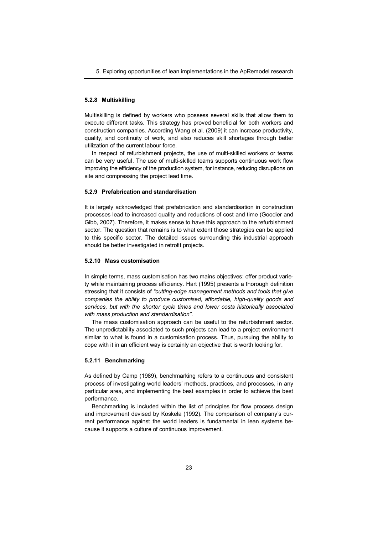#### **5.2.8 Multiskilling**

Multiskilling is defined by workers who possess several skills that allow them to execute different tasks. This strategy has proved beneficial for both workers and construction companies. According Wang et al. (2009) it can increase productivity, quality, and continuity of work, and also reduces skill shortages through better utilization of the current labour force.

In respect of refurbishment projects, the use of multi-skilled workers or teams can be very useful. The use of multi-skilled teams supports continuous work flow improving the efficiency of the production system, for instance, reducing disruptions on site and compressing the project lead time.

#### **5.2.9 Prefabrication and standardisation**

It is largely acknowledged that prefabrication and standardisation in construction processes lead to increased quality and reductions of cost and time (Goodier and Gibb, 2007). Therefore, it makes sense to have this approach to the refurbishment sector. The question that remains is to what extent those strategies can be applied to this specific sector. The detailed issues surrounding this industrial approach should be better investigated in retrofit projects.

#### **5.2.10 Mass customisation**

In simple terms, mass customisation has two mains objectives: offer product variety while maintaining process efficiency. Hart (1995) presents a thorough definition stressing that it consists of *"cutting-edge management methods and tools that give companies the ability to produce customised, affordable, high-quality goods and services, but with the shorter cycle times and lower costs historically associated with mass production and standardisation"*.

The mass customisation approach can be useful to the refurbishment sector. The unpredictability associated to such projects can lead to a project environment similar to what is found in a customisation process. Thus, pursuing the ability to cope with it in an efficient way is certainly an objective that is worth looking for.

#### **5.2.11 Benchmarking**

As defined by Camp (1989), benchmarking refers to a continuous and consistent process of investigating world leaders' methods, practices, and processes, in any particular area, and implementing the best examples in order to achieve the best performance.

Benchmarking is included within the list of principles for flow process design and improvement devised by Koskela (1992). The comparison of company's current performance against the world leaders is fundamental in lean systems because it supports a culture of continuous improvement.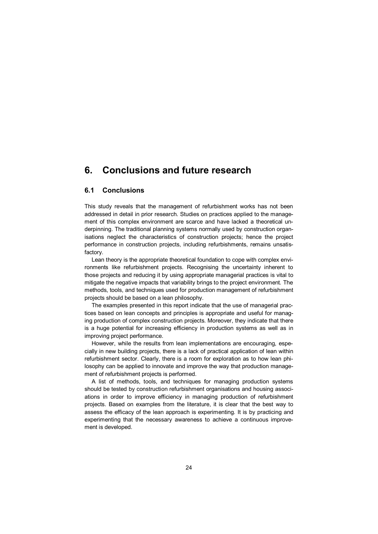## **6. Conclusions and future research**

#### **6.1 Conclusions**

This study reveals that the management of refurbishment works has not been addressed in detail in prior research. Studies on practices applied to the management of this complex environment are scarce and have lacked a theoretical underpinning. The traditional planning systems normally used by construction organisations neglect the characteristics of construction projects; hence the project performance in construction projects, including refurbishments, remains unsatisfactory.

Lean theory is the appropriate theoretical foundation to cope with complex environments like refurbishment projects. Recognising the uncertainty inherent to those projects and reducing it by using appropriate managerial practices is vital to mitigate the negative impacts that variability brings to the project environment. The methods, tools, and techniques used for production management of refurbishment projects should be based on a lean philosophy.

The examples presented in this report indicate that the use of managerial practices based on lean concepts and principles is appropriate and useful for managing production of complex construction projects. Moreover, they indicate that there is a huge potential for increasing efficiency in production systems as well as in improving project performance.

However, while the results from lean implementations are encouraging, especially in new building projects, there is a lack of practical application of lean within refurbishment sector. Clearly, there is a room for exploration as to how lean philosophy can be applied to innovate and improve the way that production management of refurbishment projects is performed.

A list of methods, tools, and techniques for managing production systems should be tested by construction refurbishment organisations and housing associations in order to improve efficiency in managing production of refurbishment projects. Based on examples from the literature, it is clear that the best way to assess the efficacy of the lean approach is experimenting. It is by practicing and experimenting that the necessary awareness to achieve a continuous improvement is developed.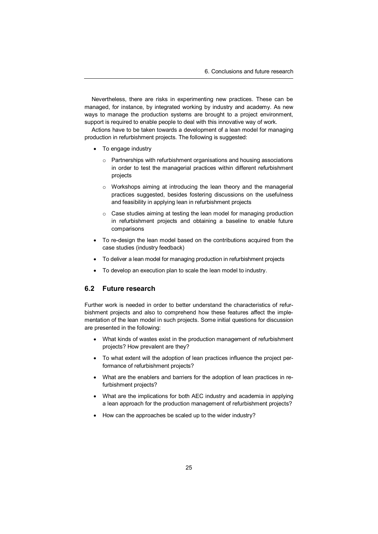Nevertheless, there are risks in experimenting new practices. These can be managed, for instance, by integrated working by industry and academy. As new ways to manage the production systems are brought to a project environment, support is required to enable people to deal with this innovative way of work.

Actions have to be taken towards a development of a lean model for managing production in refurbishment projects. The following is suggested:

- · To engage industry
	- o Partnerships with refurbishment organisations and housing associations in order to test the managerial practices within different refurbishment projects
	- $\circ$  Workshops aiming at introducing the lean theory and the managerial practices suggested, besides fostering discussions on the usefulness and feasibility in applying lean in refurbishment projects
	- o Case studies aiming at testing the lean model for managing production in refurbishment projects and obtaining a baseline to enable future comparisons
- · To re-design the lean model based on the contributions acquired from the case studies (industry feedback)
- · To deliver a lean model for managing production in refurbishment projects
- · To develop an execution plan to scale the lean model to industry.

#### **6.2 Future research**

Further work is needed in order to better understand the characteristics of refurbishment projects and also to comprehend how these features affect the implementation of the lean model in such projects. Some initial questions for discussion are presented in the following:

- · What kinds of wastes exist in the production management of refurbishment projects? How prevalent are they?
- · To what extent will the adoption of lean practices influence the project performance of refurbishment projects?
- · What are the enablers and barriers for the adoption of lean practices in refurbishment projects?
- What are the implications for both AEC industry and academia in applying a lean approach for the production management of refurbishment projects?
- · How can the approaches be scaled up to the wider industry?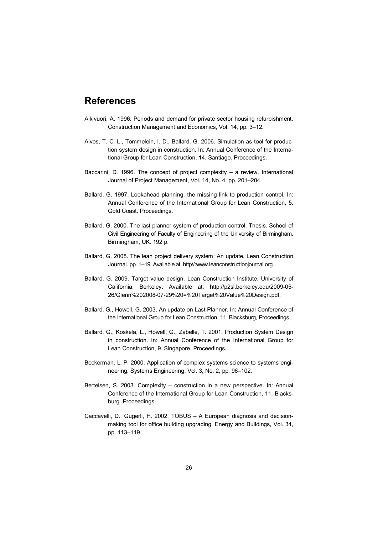## **References**

- Aikivuori, A. 1996. Periods and demand for private sector housing refurbishment. Construction Management and Economics, Vol. 14, pp. 3–12.
- Alves, T. C. L., Tommelein, I. D., Ballard, G. 2006. Simulation as tool for production system design in construction. In: Annual Conference of the International Group for Lean Construction, 14. Santiago. Proceedings.
- Baccarini, D. 1996. The concept of project complexity a review. International Journal of Project Management, Vol. 14, No. 4, pp. 201–204.
- Ballard, G. 1997. Lookahead planning, the missing link to production control. In: Annual Conference of the International Group for Lean Construction, 5. Gold Coast. Proceedings.
- Ballard, G. 2000. The last planner system of production control. Thesis. School of Civil Engineering of Faculty of Engineering of the University of Birmingham. Birmingham, UK. 192 p.
- [Ballard, G. 2008. The lean project delivery system: An update. Lean Construction](http://www.leanconstructionjournal.org)  Journal. pp. 1–19. Available at: http//:www.leanconstructionjournal.org.
- [Ballard, G. 2009. Target value design. Lean Construction Institute. University of](http://p2sl.berkeley.edu/2009-05-26/Glenn%202008-07-29%20=%20Target%20Value%20Design.pdf)  California, Berkeley. Available at: http://p2sl.berkeley.edu/2009-05- 26/Glenn%202008-07-29%20=%20Target%20Value%20Design.pdf.
- Ballard, G., Howell, G. 2003. An update on Last Planner. In: Annual Conference of the International Group for Lean Construction, 11. Blacksburg, Proceedings.
- Ballard, G., Koskela, L., Howell, G., Zabelle, T. 2001. Production System Design in construction. In: Annual Conference of the International Group for Lean Construction, 9. Singapore. Proceedings.
- Beckerman, L. P. 2000. Application of complex systems science to systems engineering. Systems Engineering, Vol. 3, No. 2, pp. 96–102.
- Bertelsen, S. 2003. Complexity construction in a new perspective. In: Annual Conference of the International Group for Lean Construction, 11. Blacksburg. Proceedings.
- Caccavelli, D., Gugerli, H. 2002. TOBUS A European diagnosis and decisionmaking tool for office building upgrading. Energy and Buildings, Vol. 34, pp. 113–119.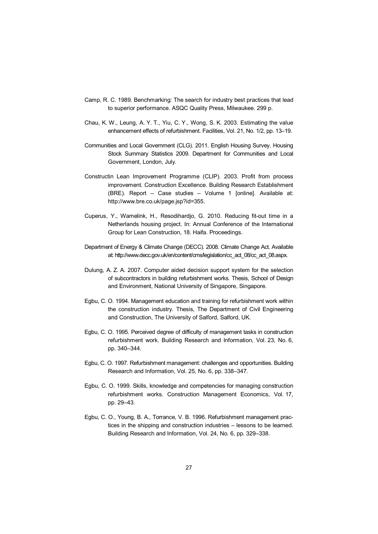- Camp, R. C. 1989. Benchmarking: The search for industry best practices that lead to superior performance. ASQC Quality Press, Milwaukee. 299 p.
- Chau, K. W., Leung, A. Y. T., Yiu, C. Y., Wong, S. K. 2003. Estimating the value enhancement effects of refurbishment. Facilities, Vol. 21, No. 1/2, pp. 13–19.
- Communities and Local Government (CLG). 2011. English Housing Survey. Housing Stock Summary Statistics 2009. Department for Communities and Local Government, London, July.
- [Constructin Lean Improvement Programme \(CLIP\). 2003. Profit from process](http://www.bre.co.uk/page.jsp?id=355)  improvement. Construction Excellence. Building Research Establishment (BRE). Report – Case studies – Volume 1 [online]. Available at: http://www.bre.co.uk/page.jsp?id=355.
- Cuperus, Y., Wamelink, H., Resodihardjo, G. 2010. Reducing fit-out time in a Netherlands housing project. In: Annual Conference of the International Group for Lean Construction, 18. Haifa. Proceedings.
- [Department of Energy & Climate Change \(DECC\). 2008. Climate Change Act. Available](http://www.decc.gov.uk/en/content/cms/legislation/cc_act_08/cc_act_08.aspx)  at: http://www.decc.gov.uk/en/content/cms/legislation/cc\_act\_08/cc\_act\_08.aspx.
- Dulung, A. Z. A. 2007. Computer aided decision support system for the selection of subcontractors in building refurbishment works. Thesis, School of Design and Environment, National University of Singapore, Singapore.
- Egbu, C. O. 1994. Management education and training for refurbishment work within the construction industry. Thesis, The Department of Civil Engineering and Construction, The University of Salford, Salford, UK.
- Egbu, C. O. 1995. Perceived degree of difficulty of management tasks in construction refurbishment work. Building Research and Information, Vol. 23, No. 6, pp. 340–344.
- Egbu, C. O. 1997. Refurbishment management: challenges and opportunities. Building Research and Information, Vol. 25, No. 6, pp. 338–347.
- Egbu, C. O. 1999. Skills, knowledge and competencies for managing construction refurbishment works. Construction Management Economics, Vol. 17, pp. 29–43.
- Egbu, C. O., Young, B. A., Torrance, V. B. 1996. Refurbishment management practices in the shipping and construction industries – lessons to be learned. Building Research and Information, Vol. 24, No. 6, pp. 329–338.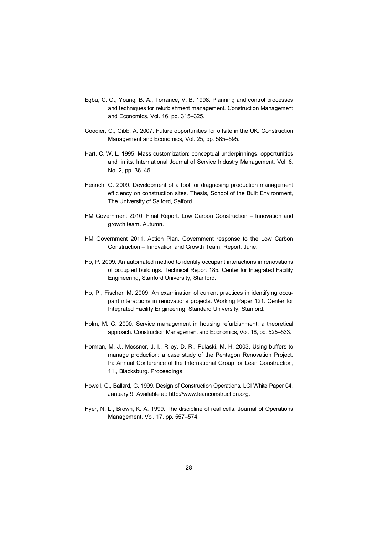- Egbu, C. O., Young, B. A., Torrance, V. B. 1998. Planning and control processes and techniques for refurbishment management. Construction Management and Economics, Vol. 16, pp. 315–325.
- Goodier, C., Gibb, A. 2007. Future opportunities for offsite in the UK. Construction Management and Economics, Vol. 25, pp. 585–595.
- Hart, C. W. L. 1995. Mass customization: conceptual underpinnings, opportunities and limits. International Journal of Service Industry Management, Vol. 6, No. 2, pp. 36–45.
- Henrich, G. 2009. Development of a tool for diagnosing production management efficiency on construction sites. Thesis, School of the Built Environment, The University of Salford, Salford.
- HM Government 2010. Final Report. Low Carbon Construction Innovation and growth team. Autumn.
- HM Government 2011. Action Plan. Government response to the Low Carbon Construction – Innovation and Growth Team. Report. June.
- Ho, P. 2009. An automated method to identify occupant interactions in renovations of occupied buildings. Technical Report 185. Center for Integrated Facility Engineering, Stanford University, Stanford.
- Ho, P., Fischer, M. 2009. An examination of current practices in identifying occupant interactions in renovations projects. Working Paper 121. Center for Integrated Facility Engineering, Standard University, Stanford.
- Holm, M. G. 2000. Service management in housing refurbishment: a theoretical approach. Construction Management and Economics, Vol. 18, pp. 525–533.
- Horman, M. J., Messner, J. I., Riley, D. R., Pulaski, M. H. 2003. Using buffers to manage production: a case study of the Pentagon Renovation Project. In: Annual Conference of the International Group for Lean Construction, 11., Blacksburg. Proceedings.
- [Howell, G., Ballard, G. 1999. Design of Construction Operations. LCI White Paper 04.](http://www.leanconstruction.org)  January 9. Available at: http://www.leanconstruction.org.
- Hyer, N. L., Brown, K. A. 1999. The discipline of real cells. Journal of Operations Management, Vol. 17, pp. 557–574.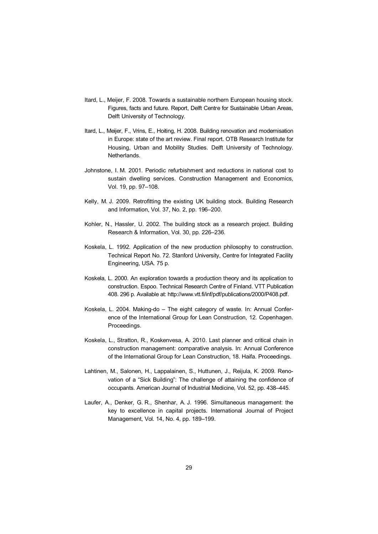- Itard, L., Meijer, F. 2008. Towards a sustainable northern European housing stock. Figures, facts and future. Report, Delft Centre for Sustainable Urban Areas, Delft University of Technology.
- Itard, L., Meijer, F., Vrins, E., Hoiting, H. 2008. Building renovation and modernisation in Europe: state of the art review. Final report. OTB Research Institute for Housing, Urban and Mobility Studies. Delft University of Technology. Netherlands.
- Johnstone, I. M. 2001. Periodic refurbishment and reductions in national cost to sustain dwelling services. Construction Management and Economics, Vol. 19, pp. 97–108.
- Kelly, M. J. 2009. Retrofitting the existing UK building stock. Building Research and Information, Vol. 37, No. 2, pp. 196–200.
- Kohler, N., Hassler, U. 2002. The building stock as a research project. Building Research & Information, Vol. 30, pp. 226–236.
- Koskela, L. 1992. Application of the new production philosophy to construction. Technical Report No. 72. Stanford University, Centre for Integrated Facility Engineering, USA. 75 p.
- [Koskela, L. 2000. An exploration towards a production theory and its application to](http://www.vtt.fi/inf/pdf/publications/2000/P408.pdf)  construction. Espoo. Technical Research Centre of Finland. VTT Publication 408. 296 p. Available at: http://www.vtt.fi/inf/pdf/publications/2000/P408.pdf.
- Koskela, L. 2004. Making-do The eight category of waste. In: Annual Conference of the International Group for Lean Construction, 12. Copenhagen. Proceedings.
- Koskela, L., Stratton, R., Koskenvesa, A. 2010. Last planner and critical chain in construction management: comparative analysis. In: Annual Conference of the International Group for Lean Construction, 18. Haifa. Proceedings.
- Lahtinen, M., Salonen, H., Lappalainen, S., Huttunen, J., Reijula, K. 2009. Renovation of a "Sick Building": The challenge of attaining the confidence of occupants. American Journal of Industrial Medicine, Vol. 52, pp. 438–445.
- Laufer, A., Denker, G. R., Shenhar, A. J. 1996. Simultaneous management: the key to excellence in capital projects. International Journal of Project Management, Vol. 14, No. 4, pp. 189–199.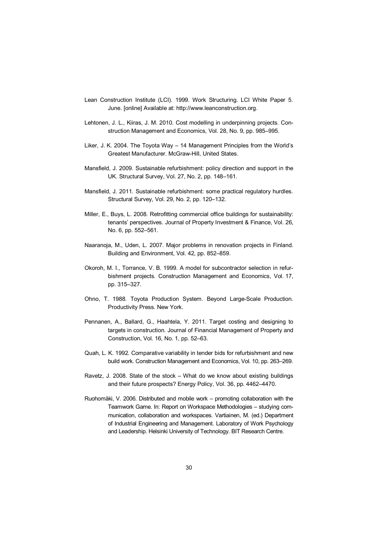- [Lean Construction Institute \(LCI\). 1999. Work Structuring. LCI White Paper 5.](http://www.leanconstruction.org)  June. [online] Available at: http://www.leanconstruction.org.
- Lehtonen, J. L., Kiiras, J. M. 2010. Cost modelling in underpinning projects. Construction Management and Economics, Vol. 28, No. 9, pp. 985–995.
- Liker, J. K. 2004. The Toyota Way 14 Management Principles from the World's Greatest Manufacturer. McGraw-Hill, United States.
- Mansfield, J. 2009. Sustainable refurbishment: policy direction and support in the UK. Structural Survey, Vol. 27, No. 2, pp. 148–161.
- Mansfield, J. 2011. Sustainable refurbishment: some practical regulatory hurdles. Structural Survey, Vol. 29, No. 2, pp. 120–132.
- Miller, E., Buys, L. 2008. Retrofitting commercial office buildings for sustainability: tenants' perspectives. Journal of Property Investment & Finance, Vol. 26, No. 6, pp. 552–561.
- Naaranoja, M., Uden, L. 2007. Major problems in renovation projects in Finland. Building and Environment, Vol. 42, pp. 852–859.
- Okoroh, M. I., Torrance, V. B. 1999. A model for subcontractor selection in refurbishment projects. Construction Management and Economics, Vol. 17, pp. 315–327.
- Ohno, T. 1988. Toyota Production System. Beyond Large-Scale Production. Productivity Press. New York.
- Pennanen, A., Ballard, G., Haahtela, Y. 2011. Target costing and designing to targets in construction. Journal of Financial Management of Property and Construction, Vol. 16, No. 1, pp. 52–63.
- Quah, L. K. 1992. Comparative variability in tender bids for refurbishment and new build work. Construction Management and Economics, Vol. 10, pp. 263–269.
- Ravetz, J. 2008. State of the stock What do we know about existing buildings and their future prospects? Energy Policy, Vol. 36, pp. 4462–4470.
- Ruohomäki, V. 2006. Distributed and mobile work promoting collaboration with the Teamwork Game. In: Report on Workspace Methodologies – studying communication, collaboration and workspaces. Vartiainen, M. (ed.) Department of Industrial Engineering and Management. Laboratory of Work Psychology and Leadership. Helsinki University of Technology. BIT Research Centre.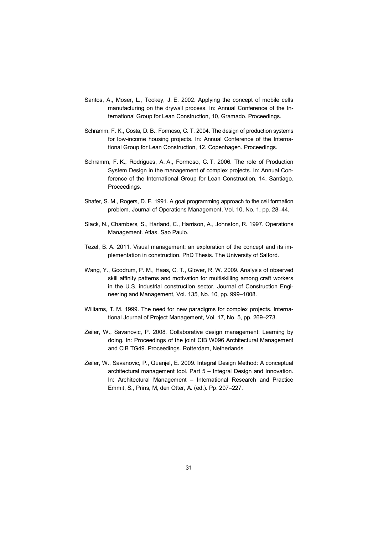- Santos, A., Moser, L., Tookey, J. E. 2002. Applying the concept of mobile cells manufacturing on the drywall process. In: Annual Conference of the International Group for Lean Construction, 10, Gramado. Proceedings.
- Schramm, F. K., Costa, D. B., Formoso, C. T. 2004. The design of production systems for low-income housing projects. In: Annual Conference of the International Group for Lean Construction, 12. Copenhagen. Proceedings.
- Schramm, F. K., Rodrigues, A. A., Formoso, C. T. 2006. The role of Production System Design in the management of complex projects. In: Annual Conference of the International Group for Lean Construction, 14. Santiago. Proceedings.
- Shafer, S. M., Rogers, D. F. 1991. A goal programming approach to the cell formation problem. Journal of Operations Management, Vol. 10, No. 1, pp. 28–44.
- Slack, N., Chambers, S., Harland, C., Harrison, A., Johnston, R. 1997. Operations Management. Atlas. Sao Paulo.
- Tezel, B. A. 2011. Visual management: an exploration of the concept and its implementation in construction. PhD Thesis. The University of Salford.
- Wang, Y., Goodrum, P. M., Haas, C. T., Glover, R. W. 2009. Analysis of observed skill affinity patterns and motivation for multiskilling among craft workers in the U.S. industrial construction sector. Journal of Construction Engineering and Management, Vol. 135, No. 10, pp. 999–1008.
- Williams, T. M. 1999. The need for new paradigms for complex projects. International Journal of Project Management, Vol. 17, No. 5, pp. 269–273.
- Zeiler, W., Savanovic, P. 2008. Collaborative design management: Learning by doing. In: Proceedings of the joint CIB W096 Architectural Management and CIB TG49. Proceedings. Rotterdam, Netherlands.
- Zeiler, W., Savanovic, P., Quanjel, E. 2009. Integral Design Method: A conceptual architectural management tool. Part 5 – Integral Design and Innovation. In: Architectural Management – International Research and Practice Emmit, S., Prins, M, den Otter, A. (ed.). Pp. 207–227.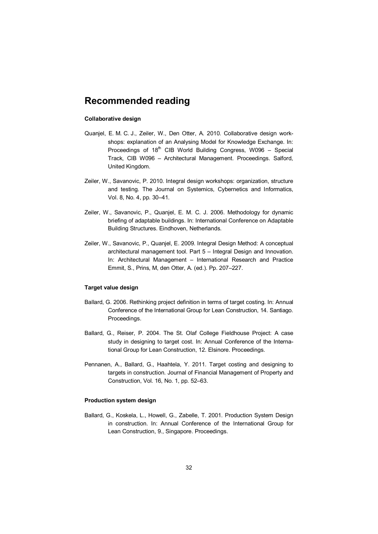## **Recommended reading**

#### **Collaborative design**

- Quanjel, E. M. C. J., Zeiler, W., Den Otter, A. 2010. Collaborative design workshops: explanation of an Analysing Model for Knowledge Exchange. In: Proceedings of  $18<sup>th</sup>$  CIB World Building Congress, W096 - Special Track, CIB W096 – Architectural Management. Proceedings. Salford, United Kingdom.
- Zeiler, W., Savanovic, P. 2010. Integral design workshops: organization, structure and testing. The Journal on Systemics, Cybernetics and Informatics, Vol. 8, No. 4, pp. 30–41.
- Zeiler, W., Savanovic, P., Quanjel, E. M. C. J. 2006. Methodology for dynamic briefing of adaptable buildings. In: International Conference on Adaptable Building Structures. Eindhoven, Netherlands.
- Zeiler, W., Savanovic, P., Quanjel, E. 2009. Integral Design Method: A conceptual architectural management tool. Part 5 – Integral Design and Innovation. In: Architectural Management – International Research and Practice Emmit, S., Prins, M, den Otter, A. (ed.). Pp. 207–227.

#### **Target value design**

- Ballard, G. 2006. Rethinking project definition in terms of target costing. In: Annual Conference of the International Group for Lean Construction, 14. Santiago. Proceedings.
- Ballard, G., Reiser, P. 2004. The St. Olaf College Fieldhouse Project: A case study in designing to target cost. In: Annual Conference of the International Group for Lean Construction, 12. Elsinore. Proceedings.
- Pennanen, A., Ballard, G., Haahtela, Y. 2011. Target costing and designing to targets in construction. Journal of Financial Management of Property and Construction, Vol. 16, No. 1, pp. 52–63.

#### **Production system design**

Ballard, G., Koskela, L., Howell, G., Zabelle, T. 2001. Production System Design in construction. In: Annual Conference of the International Group for Lean Construction, 9., Singapore. Proceedings.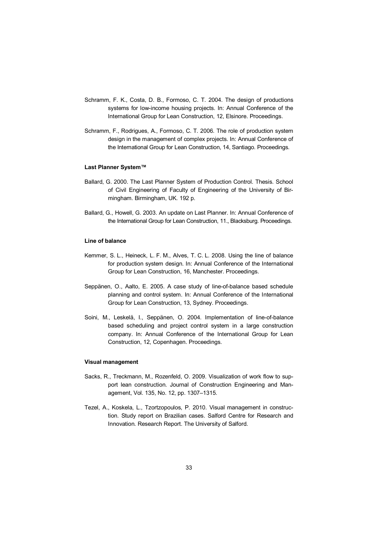- Schramm, F. K., Costa, D. B., Formoso, C. T. 2004. The design of productions systems for low-income housing projects. In: Annual Conference of the International Group for Lean Construction, 12, Elsinore. Proceedings.
- Schramm, F., Rodrigues, A., Formoso, C. T. 2006. The role of production system design in the management of complex projects. In: Annual Conference of the International Group for Lean Construction, 14, Santiago. Proceedings.

#### **Last Planner System™**

- Ballard, G. 2000. The Last Planner System of Production Control. Thesis. School of Civil Engineering of Faculty of Engineering of the University of Birmingham. Birmingham, UK. 192 p.
- Ballard, G., Howell, G. 2003. An update on Last Planner. In: Annual Conference of the International Group for Lean Construction, 11., Blacksburg. Proceedings.

#### **Line of balance**

- Kemmer, S. L., Heineck, L. F. M., Alves, T. C. L. 2008. Using the line of balance for production system design. In: Annual Conference of the International Group for Lean Construction, 16, Manchester. Proceedings.
- Seppänen, O., Aalto, E. 2005. A case study of line-of-balance based schedule planning and control system. In: Annual Conference of the International Group for Lean Construction, 13, Sydney. Proceedings.
- Soini, M., Leskelä, I., Seppänen, O. 2004. Implementation of line-of-balance based scheduling and project control system in a large construction company. In: Annual Conference of the International Group for Lean Construction, 12, Copenhagen. Proceedings.

#### **Visual management**

- Sacks, R., Treckmann, M., Rozenfeld, O. 2009. Visualization of work flow to support lean construction. Journal of Construction Engineering and Management, Vol. 135, No. 12, pp. 1307–1315.
- Tezel, A., Koskela, L., Tzortzopoulos, P. 2010. Visual management in construction. Study report on Brazilian cases. Salford Centre for Research and Innovation. Research Report. The University of Salford.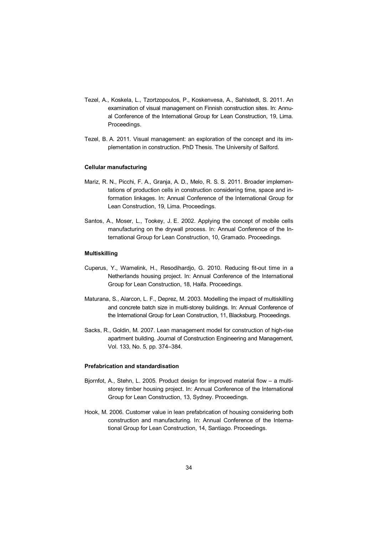- Tezel, A., Koskela, L., Tzortzopoulos, P., Koskenvesa, A., Sahlstedt, S. 2011. An examination of visual management on Finnish construction sites. In: Annual Conference of the International Group for Lean Construction, 19, Lima. Proceedings.
- Tezel, B. A. 2011. Visual management: an exploration of the concept and its implementation in construction. PhD Thesis. The University of Salford.

#### **Cellular manufacturing**

- Mariz, R. N., Picchi, F. A., Granja, A. D., Melo, R. S. S. 2011. Broader implementations of production cells in construction considering time, space and information linkages. In: Annual Conference of the International Group for Lean Construction, 19, Lima. Proceedings.
- Santos, A., Moser, L., Tookey, J. E. 2002. Applying the concept of mobile cells manufacturing on the drywall process. In: Annual Conference of the International Group for Lean Construction, 10, Gramado. Proceedings.

#### **Multiskilling**

- Cuperus, Y., Wamelink, H., Resodihardjo, G. 2010. Reducing fit-out time in a Netherlands housing project. In: Annual Conference of the International Group for Lean Construction, 18, Haifa. Proceedings.
- Maturana, S., Alarcon, L. F., Deprez, M. 2003. Modelling the impact of multiskilling and concrete batch size in multi-storey buildings. In: Annual Conference of the International Group for Lean Construction, 11, Blacksburg. Proceedings.
- Sacks, R., Goldin, M. 2007. Lean management model for construction of high-rise apartment building. Journal of Construction Engineering and Management, Vol. 133, No. 5, pp. 374–384.

#### **Prefabrication and standardisation**

- Bjornfot, A., Stehn, L. 2005. Product design for improved material flow a multistorey timber housing project. In: Annual Conference of the International Group for Lean Construction, 13, Sydney. Proceedings.
- Hook, M. 2006. Customer value in lean prefabrication of housing considering both construction and manufacturing. In: Annual Conference of the International Group for Lean Construction, 14, Santiago. Proceedings.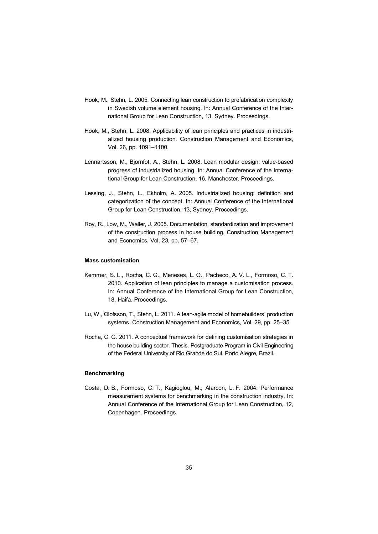- Hook, M., Stehn, L. 2005. Connecting lean construction to prefabrication complexity in Swedish volume element housing. In: Annual Conference of the International Group for Lean Construction, 13, Sydney. Proceedings.
- Hook, M., Stehn, L. 2008. Applicability of lean principles and practices in industrialized housing production. Construction Management and Economics, Vol. 26, pp. 1091–1100.
- Lennartsson, M., Bjornfot, A., Stehn, L. 2008. Lean modular design: value-based progress of industrialized housing. In: Annual Conference of the International Group for Lean Construction, 16, Manchester. Proceedings.
- Lessing, J., Stehn, L., Ekholm, A. 2005. Industrialized housing: definition and categorization of the concept. In: Annual Conference of the International Group for Lean Construction, 13, Sydney. Proceedings.
- Roy, R., Low, M., Waller, J. 2005. Documentation, standardization and improvement of the construction process in house building. Construction Management and Economics, Vol. 23, pp. 57–67.

#### **Mass customisation**

- Kemmer, S. L., Rocha, C. G., Meneses, L. O., Pacheco, A. V. L., Formoso, C. T. 2010. Application of lean principles to manage a customisation process. In: Annual Conference of the International Group for Lean Construction, 18, Haifa. Proceedings.
- Lu, W., Olofsson, T., Stehn, L. 2011. A lean-agile model of homebuilders' production systems. Construction Management and Economics, Vol. 29, pp. 25–35.
- Rocha, C. G. 2011. A conceptual framework for defining customisation strategies in the house building sector. Thesis. Postgraduate Program in Civil Engineering of the Federal University of Rio Grande do Sul. Porto Alegre, Brazil.

#### **Benchmarking**

Costa, D. B., Formoso, C. T., Kagioglou, M., Alarcon, L. F. 2004. Performance measurement systems for benchmarking in the construction industry. In: Annual Conference of the International Group for Lean Construction, 12, Copenhagen. Proceedings.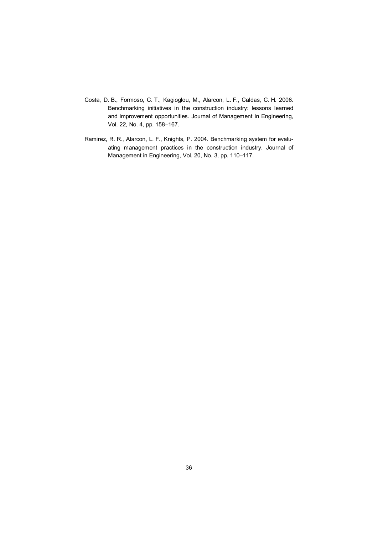- Costa, D. B., Formoso, C. T., Kagioglou, M., Alarcon, L. F., Caldas, C. H. 2006. Benchmarking initiatives in the construction industry: lessons learned and improvement opportunities. Journal of Management in Engineering, Vol. 22, No. 4, pp. 158–167.
- Ramirez, R. R., Alarcon, L. F., Knights, P. 2004. Benchmarking system for evaluating management practices in the construction industry. Journal of Management in Engineering, Vol. 20, No. 3, pp. 110–117.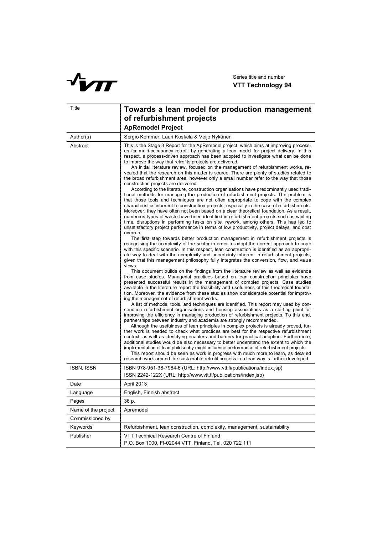

| Title               | Towards a lean model for production management<br>of refurbishment projects<br><b>ApRemodel Project</b>                                                                                                                                                                                                                                                                                                                                                                                                                                                                                                                                                                                                                                                                                                                                                                                                                                                                                                                                                                                                                                                                                                                                                                                                                                                                                                                                                                                                                                                                                                                                                                                                                                                                                                                                                                                                                                                                                                                                                                                                                                                                                                                                                                                                                                                                                                                                                                                                                                                                                                                                                                                                                                                                                                                                                                                                                                                                                                                                                                                                                                                                                                                                                                                                                                                                                                                                |
|---------------------|----------------------------------------------------------------------------------------------------------------------------------------------------------------------------------------------------------------------------------------------------------------------------------------------------------------------------------------------------------------------------------------------------------------------------------------------------------------------------------------------------------------------------------------------------------------------------------------------------------------------------------------------------------------------------------------------------------------------------------------------------------------------------------------------------------------------------------------------------------------------------------------------------------------------------------------------------------------------------------------------------------------------------------------------------------------------------------------------------------------------------------------------------------------------------------------------------------------------------------------------------------------------------------------------------------------------------------------------------------------------------------------------------------------------------------------------------------------------------------------------------------------------------------------------------------------------------------------------------------------------------------------------------------------------------------------------------------------------------------------------------------------------------------------------------------------------------------------------------------------------------------------------------------------------------------------------------------------------------------------------------------------------------------------------------------------------------------------------------------------------------------------------------------------------------------------------------------------------------------------------------------------------------------------------------------------------------------------------------------------------------------------------------------------------------------------------------------------------------------------------------------------------------------------------------------------------------------------------------------------------------------------------------------------------------------------------------------------------------------------------------------------------------------------------------------------------------------------------------------------------------------------------------------------------------------------------------------------------------------------------------------------------------------------------------------------------------------------------------------------------------------------------------------------------------------------------------------------------------------------------------------------------------------------------------------------------------------------------------------------------------------------------------------------------------------------|
| Author(s)           | Sergio Kemmer, Lauri Koskela & Veijo Nykänen                                                                                                                                                                                                                                                                                                                                                                                                                                                                                                                                                                                                                                                                                                                                                                                                                                                                                                                                                                                                                                                                                                                                                                                                                                                                                                                                                                                                                                                                                                                                                                                                                                                                                                                                                                                                                                                                                                                                                                                                                                                                                                                                                                                                                                                                                                                                                                                                                                                                                                                                                                                                                                                                                                                                                                                                                                                                                                                                                                                                                                                                                                                                                                                                                                                                                                                                                                                           |
| Abstract            | This is the Stage 3 Report for the ApRemodel project, which aims at improving process-<br>es for multi-occupancy retrofit by generating a lean model for project delivery. In this<br>respect, a process-driven approach has been adopted to investigate what can be done<br>to improve the way that retrofits projects are delivered.<br>An initial literature review, focused on the management of refurbishment works, re-<br>vealed that the research on this matter is scarce. There are plenty of studies related to<br>the broad refurbishment area, however only a small number refer to the way that those<br>construction projects are delivered.<br>According to the literature, construction organisations have predominantly used tradi-<br>tional methods for managing the production of refurbishment projects. The problem is<br>that those tools and techniques are not often appropriate to cope with the complex<br>characteristics inherent to construction projects, especially in the case of refurbishments.<br>Moreover, they have often not been based on a clear theoretical foundation. As a result,<br>numerous types of waste have been identified in refurbishment projects such as waiting<br>time, disruptions in performing tasks on site, rework, among others. This has led to<br>unsatisfactory project performance in terms of low productivity, project delays, and cost<br>overrun.<br>The first step towards better production management in refurbishment projects is<br>recognising the complexity of the sector in order to adopt the correct approach to cope<br>with this specific scenario. In this respect, lean construction is identified as an appropri-<br>ate way to deal with the complexity and uncertainty inherent in refurbishment projects,<br>given that this management philosophy fully integrates the conversion, flow, and value<br>views.<br>This document builds on the findings from the literature review as well as evidence<br>from case studies. Managerial practices based on lean construction principles have<br>presented successful results in the management of complex projects. Case studies<br>available in the literature report the feasibility and usefulness of this theoretical founda-<br>tion. Moreover, the evidence from these studies show considerable potential for improv-<br>ing the management of refurbishment works.<br>A list of methods, tools, and techniques are identified. This report may used by con-<br>struction refurbishment organisations and housing associations as a starting point for<br>improving the efficiency in managing production of refurbishment projects. To this end,<br>partnerships between industry and academia are strongly recommended.<br>Although the usefulness of lean principles in complex projects is already proved, fur-<br>ther work is needed to check what practices are best for the respective refurbishment<br>context, as well as identifying enablers and barriers for practical adoption. Furthermore,<br>additional studies would be also necessary to better understand the extent to which the<br>implementation of lean philosophy might influence performance of refurbishment projects.<br>This report should be seen as work in progress with much more to learn, as detailed<br>research work around the sustainable retrofit process in a lean way is further developed. |
|                     |                                                                                                                                                                                                                                                                                                                                                                                                                                                                                                                                                                                                                                                                                                                                                                                                                                                                                                                                                                                                                                                                                                                                                                                                                                                                                                                                                                                                                                                                                                                                                                                                                                                                                                                                                                                                                                                                                                                                                                                                                                                                                                                                                                                                                                                                                                                                                                                                                                                                                                                                                                                                                                                                                                                                                                                                                                                                                                                                                                                                                                                                                                                                                                                                                                                                                                                                                                                                                                        |
| <b>ISBN, ISSN</b>   | ISBN 978-951-38-7984-6 (URL: http://www.vtt.fi/publications/index.jsp)<br>ISSN 2242-122X (URL: http://www.vtt.fi/publications/index.jsp)                                                                                                                                                                                                                                                                                                                                                                                                                                                                                                                                                                                                                                                                                                                                                                                                                                                                                                                                                                                                                                                                                                                                                                                                                                                                                                                                                                                                                                                                                                                                                                                                                                                                                                                                                                                                                                                                                                                                                                                                                                                                                                                                                                                                                                                                                                                                                                                                                                                                                                                                                                                                                                                                                                                                                                                                                                                                                                                                                                                                                                                                                                                                                                                                                                                                                               |
| Date                | April 2013                                                                                                                                                                                                                                                                                                                                                                                                                                                                                                                                                                                                                                                                                                                                                                                                                                                                                                                                                                                                                                                                                                                                                                                                                                                                                                                                                                                                                                                                                                                                                                                                                                                                                                                                                                                                                                                                                                                                                                                                                                                                                                                                                                                                                                                                                                                                                                                                                                                                                                                                                                                                                                                                                                                                                                                                                                                                                                                                                                                                                                                                                                                                                                                                                                                                                                                                                                                                                             |
| Language            | English, Finnish abstract                                                                                                                                                                                                                                                                                                                                                                                                                                                                                                                                                                                                                                                                                                                                                                                                                                                                                                                                                                                                                                                                                                                                                                                                                                                                                                                                                                                                                                                                                                                                                                                                                                                                                                                                                                                                                                                                                                                                                                                                                                                                                                                                                                                                                                                                                                                                                                                                                                                                                                                                                                                                                                                                                                                                                                                                                                                                                                                                                                                                                                                                                                                                                                                                                                                                                                                                                                                                              |
| Pages               | 36 p.                                                                                                                                                                                                                                                                                                                                                                                                                                                                                                                                                                                                                                                                                                                                                                                                                                                                                                                                                                                                                                                                                                                                                                                                                                                                                                                                                                                                                                                                                                                                                                                                                                                                                                                                                                                                                                                                                                                                                                                                                                                                                                                                                                                                                                                                                                                                                                                                                                                                                                                                                                                                                                                                                                                                                                                                                                                                                                                                                                                                                                                                                                                                                                                                                                                                                                                                                                                                                                  |
| Name of the project | Apremodel                                                                                                                                                                                                                                                                                                                                                                                                                                                                                                                                                                                                                                                                                                                                                                                                                                                                                                                                                                                                                                                                                                                                                                                                                                                                                                                                                                                                                                                                                                                                                                                                                                                                                                                                                                                                                                                                                                                                                                                                                                                                                                                                                                                                                                                                                                                                                                                                                                                                                                                                                                                                                                                                                                                                                                                                                                                                                                                                                                                                                                                                                                                                                                                                                                                                                                                                                                                                                              |
| Commissioned by     |                                                                                                                                                                                                                                                                                                                                                                                                                                                                                                                                                                                                                                                                                                                                                                                                                                                                                                                                                                                                                                                                                                                                                                                                                                                                                                                                                                                                                                                                                                                                                                                                                                                                                                                                                                                                                                                                                                                                                                                                                                                                                                                                                                                                                                                                                                                                                                                                                                                                                                                                                                                                                                                                                                                                                                                                                                                                                                                                                                                                                                                                                                                                                                                                                                                                                                                                                                                                                                        |
| Keywords            | Refurbishment, lean construction, complexity, management, sustainability                                                                                                                                                                                                                                                                                                                                                                                                                                                                                                                                                                                                                                                                                                                                                                                                                                                                                                                                                                                                                                                                                                                                                                                                                                                                                                                                                                                                                                                                                                                                                                                                                                                                                                                                                                                                                                                                                                                                                                                                                                                                                                                                                                                                                                                                                                                                                                                                                                                                                                                                                                                                                                                                                                                                                                                                                                                                                                                                                                                                                                                                                                                                                                                                                                                                                                                                                               |
| Publisher           | VTT Technical Research Centre of Finland<br>P.O. Box 1000, FI-02044 VTT, Finland, Tel. 020 722 111                                                                                                                                                                                                                                                                                                                                                                                                                                                                                                                                                                                                                                                                                                                                                                                                                                                                                                                                                                                                                                                                                                                                                                                                                                                                                                                                                                                                                                                                                                                                                                                                                                                                                                                                                                                                                                                                                                                                                                                                                                                                                                                                                                                                                                                                                                                                                                                                                                                                                                                                                                                                                                                                                                                                                                                                                                                                                                                                                                                                                                                                                                                                                                                                                                                                                                                                     |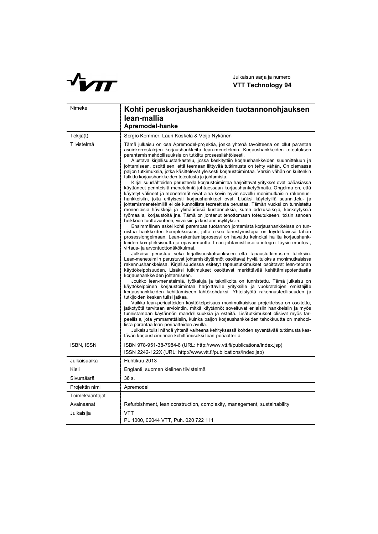

| Nimeke            | Kohti peruskorjaushankkeiden tuotannonohjauksen<br>lean-mallia<br>Apremodel-hanke                                                                                                                                                                                                                                                                                                                                                                                                                                                                                                                                                                                                                                                                                                                                                                                                                                                                                                                                                                                                                                                                                                                                                                                                                                                                                                                                                                                                                                                                                                                                                                                                                                                                                                                                                                                                                                                                                                                                                                                                                                                                                                                                                                                                                                                                                                                                                                                                                                                                                                                                                                                                                                                                                                                                                                                                                                                                                                                               |
|-------------------|-----------------------------------------------------------------------------------------------------------------------------------------------------------------------------------------------------------------------------------------------------------------------------------------------------------------------------------------------------------------------------------------------------------------------------------------------------------------------------------------------------------------------------------------------------------------------------------------------------------------------------------------------------------------------------------------------------------------------------------------------------------------------------------------------------------------------------------------------------------------------------------------------------------------------------------------------------------------------------------------------------------------------------------------------------------------------------------------------------------------------------------------------------------------------------------------------------------------------------------------------------------------------------------------------------------------------------------------------------------------------------------------------------------------------------------------------------------------------------------------------------------------------------------------------------------------------------------------------------------------------------------------------------------------------------------------------------------------------------------------------------------------------------------------------------------------------------------------------------------------------------------------------------------------------------------------------------------------------------------------------------------------------------------------------------------------------------------------------------------------------------------------------------------------------------------------------------------------------------------------------------------------------------------------------------------------------------------------------------------------------------------------------------------------------------------------------------------------------------------------------------------------------------------------------------------------------------------------------------------------------------------------------------------------------------------------------------------------------------------------------------------------------------------------------------------------------------------------------------------------------------------------------------------------------------------------------------------------------------------------------------------------|
| Tekijä(t)         | Sergio Kemmer, Lauri Koskela & Veijo Nykänen                                                                                                                                                                                                                                                                                                                                                                                                                                                                                                                                                                                                                                                                                                                                                                                                                                                                                                                                                                                                                                                                                                                                                                                                                                                                                                                                                                                                                                                                                                                                                                                                                                                                                                                                                                                                                                                                                                                                                                                                                                                                                                                                                                                                                                                                                                                                                                                                                                                                                                                                                                                                                                                                                                                                                                                                                                                                                                                                                                    |
| Tiivistelmä       | Tämä julkaisu on osa Apremodel-projektia, jonka yhtenä tavoitteena on ollut parantaa<br>asuinkerrostalojen korjaushankkeita lean-menetelmin. Korjaushankkeiden toteutuksen<br>parantamismahdollisuuksia on tutkittu prosessilähtöisesti.<br>Alustava kirjallisuustarkastelu, jossa keskityttiin korjaushankkeiden suunnitteluun ja<br>johtamiseen, osoitti sen, että teemaan liittyvää tutkimusta on tehty vähän. On olemassa<br>paljon tutkimuksia, jotka käsittelevät yleisesti korjaustoimintaa. Varsin vähän on kuitenkin<br>tutkittu korjaushankkeiden toteutusta ja johtamista.<br>Kirjallisuuslähteiden perusteella korjaustoimintaa harjoittavat yritykset ovat pääasiassa<br>käyttäneet perinteisiä menetelmiä johtaessaan korjaushanketyömaita. Ongelma on, että<br>käytetyt välineet ja menetelmät eivät aina kovin hyvin sovellu monimutkaisiin rakennus-<br>hankkeisiin, joita erityisesti korjaushankkeet ovat. Lisäksi käytetyillä suunnittelu- ja<br>johtamismenetelmillä ei ole kunnollista teoreettista perustaa. Tämän vuoksi on tunnistettu<br>monenlaisia hävikkejä ja ylimääräisiä kustannuksia, kuten odotusaikoja, keskeytyksiä<br>työmaalla, korjaustöitä jne. Tämä on johtanut tehottomaan toteutukseen, toisin sanoen<br>heikkoon tuottavuuteen, viiveisiin ja kustannusylityksiin.<br>Ensimmäinen askel kohti parempaa tuotannon johtamista korjaushankkeissa on tun-<br>nistaa hankkeiden kompleksisuus, jotta oikea lähestymistapa on löydettävissä tähän<br>prosessiongelmaan. Lean-rakentamisprosessi on havaittu keinoksi hallita korjaushank-<br>keiden kompleksisuutta ja epävarmuutta. Lean-johtamisfilosofia integroi täysin muutos-,<br>virtaus- ja arvontuottonäkökulmat.<br>Julkaisu perustuu sekä kirjallisuuskatsaukseen että tapaustutkimusten tuloksiin.<br>Lean-menetelmiin perustuvat johtamiskäytännöt osoittavat hyviä tuloksia monimutkaisissa<br>rakennushankkeissa. Kirjallisuudessa esitetyt tapaustutkimukset osoittavat lean-teorian<br>käyttökelpoisuuden. Lisäksi tutkimukset osoittavat merkittävää kehittämispotentiaalia<br>korjaushankkeiden johtamiseen.<br>Joukko lean-menetelmiä, työkaluja ja tekniikoita on tunnistettu. Tämä julkaisu on<br>käyttökelpoinen korjaustoimintaa harjoittaville yrityksille ja vuokratalojen omistajille<br>korjaushankkeiden kehittämiseen lähtökohdaksi. Yhteistyötä rakennusteollisuuden ja<br>tutkijoiden kesken tulisi jatkaa.<br>Vaikka lean-periaatteiden käyttökelpoisuus monimutkaisissa projekteissa on osoitettu,<br>jatkotyötä tarvitaan arviointiin, mitkä käytännöt soveltuvat erilaisiin hankkeisiin ja myös<br>tunnistamaan käytännön mahdollisuuksia ja esteitä. Lisätutkimukset olisivat myös tar-<br>peellisia, jota ymmärrettäisiin, kuinka paljon korjaushankkeiden tehokkuutta on mahdol-<br>lista parantaa lean-periaatteiden avulla.<br>Julkaisu tulisi nähdä yhtenä vaiheena kehityksessä kohden syventävää tutkimusta kes-<br>tävän korjaustoiminnan kehittämiseksi lean-periaatteilla. |
| <b>ISBN, ISSN</b> | ISBN 978-951-38-7984-6 (URL: http://www.vtt.fi/publications/index.jsp)<br>ISSN 2242-122X (URL: http://www.vtt.fi/publications/index.jsp)                                                                                                                                                                                                                                                                                                                                                                                                                                                                                                                                                                                                                                                                                                                                                                                                                                                                                                                                                                                                                                                                                                                                                                                                                                                                                                                                                                                                                                                                                                                                                                                                                                                                                                                                                                                                                                                                                                                                                                                                                                                                                                                                                                                                                                                                                                                                                                                                                                                                                                                                                                                                                                                                                                                                                                                                                                                                        |
| Julkaisuaika      | Huhtikuu 2013                                                                                                                                                                                                                                                                                                                                                                                                                                                                                                                                                                                                                                                                                                                                                                                                                                                                                                                                                                                                                                                                                                                                                                                                                                                                                                                                                                                                                                                                                                                                                                                                                                                                                                                                                                                                                                                                                                                                                                                                                                                                                                                                                                                                                                                                                                                                                                                                                                                                                                                                                                                                                                                                                                                                                                                                                                                                                                                                                                                                   |
| Kieli             | Englanti, suomen kielinen tiivistelmä                                                                                                                                                                                                                                                                                                                                                                                                                                                                                                                                                                                                                                                                                                                                                                                                                                                                                                                                                                                                                                                                                                                                                                                                                                                                                                                                                                                                                                                                                                                                                                                                                                                                                                                                                                                                                                                                                                                                                                                                                                                                                                                                                                                                                                                                                                                                                                                                                                                                                                                                                                                                                                                                                                                                                                                                                                                                                                                                                                           |
| Sivumäärä         | 36 s.                                                                                                                                                                                                                                                                                                                                                                                                                                                                                                                                                                                                                                                                                                                                                                                                                                                                                                                                                                                                                                                                                                                                                                                                                                                                                                                                                                                                                                                                                                                                                                                                                                                                                                                                                                                                                                                                                                                                                                                                                                                                                                                                                                                                                                                                                                                                                                                                                                                                                                                                                                                                                                                                                                                                                                                                                                                                                                                                                                                                           |
| Projektin nimi    | Apremodel                                                                                                                                                                                                                                                                                                                                                                                                                                                                                                                                                                                                                                                                                                                                                                                                                                                                                                                                                                                                                                                                                                                                                                                                                                                                                                                                                                                                                                                                                                                                                                                                                                                                                                                                                                                                                                                                                                                                                                                                                                                                                                                                                                                                                                                                                                                                                                                                                                                                                                                                                                                                                                                                                                                                                                                                                                                                                                                                                                                                       |
| Toimeksiantajat   |                                                                                                                                                                                                                                                                                                                                                                                                                                                                                                                                                                                                                                                                                                                                                                                                                                                                                                                                                                                                                                                                                                                                                                                                                                                                                                                                                                                                                                                                                                                                                                                                                                                                                                                                                                                                                                                                                                                                                                                                                                                                                                                                                                                                                                                                                                                                                                                                                                                                                                                                                                                                                                                                                                                                                                                                                                                                                                                                                                                                                 |
| Avainsanat        | Refurbishment, lean construction, complexity, management, sustainability                                                                                                                                                                                                                                                                                                                                                                                                                                                                                                                                                                                                                                                                                                                                                                                                                                                                                                                                                                                                                                                                                                                                                                                                                                                                                                                                                                                                                                                                                                                                                                                                                                                                                                                                                                                                                                                                                                                                                                                                                                                                                                                                                                                                                                                                                                                                                                                                                                                                                                                                                                                                                                                                                                                                                                                                                                                                                                                                        |
| Julkaisija        | VTT<br>PL 1000, 02044 VTT, Puh. 020 722 111                                                                                                                                                                                                                                                                                                                                                                                                                                                                                                                                                                                                                                                                                                                                                                                                                                                                                                                                                                                                                                                                                                                                                                                                                                                                                                                                                                                                                                                                                                                                                                                                                                                                                                                                                                                                                                                                                                                                                                                                                                                                                                                                                                                                                                                                                                                                                                                                                                                                                                                                                                                                                                                                                                                                                                                                                                                                                                                                                                     |